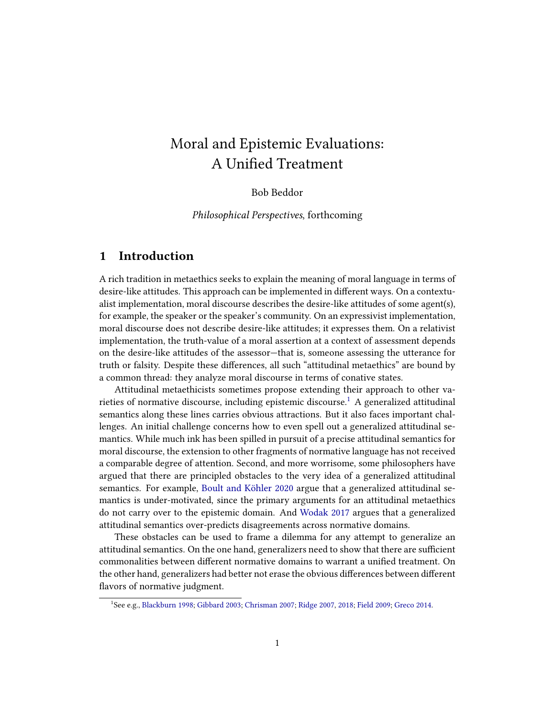# Moral and Epistemic Evaluations: A Unified Treatment

#### Bob Beddor

Philosophical Perspectives, forthcoming

# 1 Introduction

A rich tradition in metaethics seeks to explain the meaning of moral language in terms of desire-like attitudes. This approach can be implemented in different ways. On a contextualist implementation, moral discourse describes the desire-like attitudes of some agent(s), for example, the speaker or the speaker's community. On an expressivist implementation, moral discourse does not describe desire-like attitudes; it expresses them. On a relativist implementation, the truth-value of a moral assertion at a context of assessment depends on the desire-like attitudes of the assessor—that is, someone assessing the utterance for truth or falsity. Despite these differences, all such "attitudinal metaethics" are bound by a common thread: they analyze moral discourse in terms of conative states.

Attitudinal metaethicists sometimes propose extending their approach to other va-rieties of normative discourse, including epistemic discourse.<sup>[1](#page-0-0)</sup> A generalized attitudinal semantics along these lines carries obvious attractions. But it also faces important challenges. An initial challenge concerns how to even spell out a generalized attitudinal semantics. While much ink has been spilled in pursuit of a precise attitudinal semantics for moral discourse, the extension to other fragments of normative language has not received a comparable degree of attention. Second, and more worrisome, some philosophers have argued that there are principled obstacles to the very idea of a generalized attitudinal semantics. For example, [Boult and Köhler](#page-27-0) [2020](#page-27-0) argue that a generalized attitudinal semantics is under-motivated, since the primary arguments for an attitudinal metaethics do not carry over to the epistemic domain. And [Wodak](#page-29-0) [2017](#page-29-0) argues that a generalized attitudinal semantics over-predicts disagreements across normative domains.

These obstacles can be used to frame a dilemma for any attempt to generalize an attitudinal semantics. On the one hand, generalizers need to show that there are sufficient commonalities between different normative domains to warrant a unified treatment. On the other hand, generalizers had better not erase the obvious differences between different flavors of normative judgment.

<span id="page-0-0"></span><sup>1</sup> See e.g., [Blackburn](#page-27-1) [1998;](#page-27-1) [Gibbard](#page-27-2) [2003;](#page-27-2) [Chrisman](#page-27-3) [2007;](#page-27-3) [Ridge](#page-28-0) [2007,](#page-28-0) [2018;](#page-28-1) [Field](#page-27-4) [2009;](#page-27-4) [Greco](#page-27-5) [2014.](#page-27-5)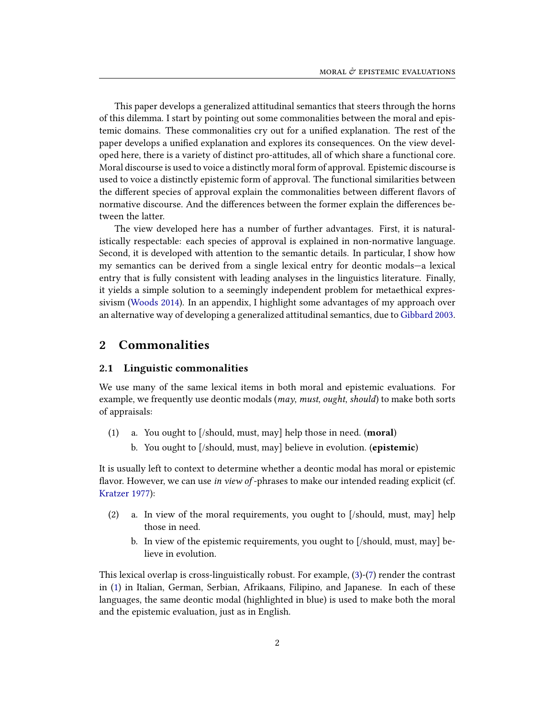This paper develops a generalized attitudinal semantics that steers through the horns of this dilemma. I start by pointing out some commonalities between the moral and epistemic domains. These commonalities cry out for a unified explanation. The rest of the paper develops a unified explanation and explores its consequences. On the view developed here, there is a variety of distinct pro-attitudes, all of which share a functional core. Moral discourse is used to voice a distinctly moral form of approval. Epistemic discourse is used to voice a distinctly epistemic form of approval. The functional similarities between the different species of approval explain the commonalities between different flavors of normative discourse. And the differences between the former explain the differences between the latter.

The view developed here has a number of further advantages. First, it is naturalistically respectable: each species of approval is explained in non-normative language. Second, it is developed with attention to the semantic details. In particular, I show how my semantics can be derived from a single lexical entry for deontic modals—a lexical entry that is fully consistent with leading analyses in the linguistics literature. Finally, it yields a simple solution to a seemingly independent problem for metaethical expressivism [\(Woods](#page-29-1) [2014\)](#page-29-1). In an appendix, I highlight some advantages of my approach over an alternative way of developing a generalized attitudinal semantics, due to [Gibbard](#page-27-2) [2003.](#page-27-2)

### 2 Commonalities

#### 2.1 Linguistic commonalities

We use many of the same lexical items in both moral and epistemic evaluations. For example, we frequently use deontic modals ( $may, must, ought, should)$ ) to make both sorts of appraisals:

- <span id="page-1-0"></span>(1) a. You ought to [/should, must, may] help those in need. (moral)
	- b. You ought to [/should, must, may] believe in evolution. (epistemic)

It is usually left to context to determine whether a deontic modal has moral or epistemic flavor. However, we can use in view of -phrases to make our intended reading explicit (cf. [Kratzer](#page-27-6) [1977\)](#page-27-6):

- <span id="page-1-1"></span>(2) a. In view of the moral requirements, you ought to  $[\text{/should, must, may]}$  help those in need.
	- b. In view of the epistemic requirements, you ought to [/should, must, may] believe in evolution.

This lexical overlap is cross-linguistically robust. For example, [\(3\)](#page-2-0)-[\(7\)](#page-2-1) render the contrast in [\(1\)](#page-1-0) in Italian, German, Serbian, Afrikaans, Filipino, and Japanese. In each of these languages, the same deontic modal (highlighted in blue) is used to make both the moral and the epistemic evaluation, just as in English.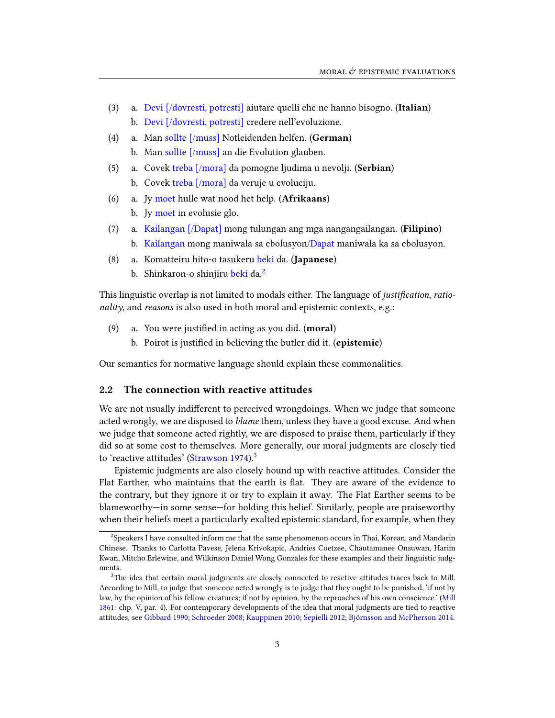- <span id="page-2-0"></span>(3) a. Devi [/dovresti, potresti] aiutare quelli che ne hanno bisogno. (Italian) b. Devi [/dovresti, potresti] credere nell'evoluzione.
- (4) a. Man sollte [/muss] Notleidenden helfen. (German)
	- b. Man sollte [/muss] an die Evolution glauben.
- (5) a. Covek treba [/mora] da pomogne ljudima u nevolji. (Serbian) b. Covek treba [/mora] da veruje u evoluciju.
	-
- (6) a. Jy moet hulle wat nood het help. (Afrikaans)
	- b. Jy moet in evolusie glo.
- <span id="page-2-1"></span>(7) a. Kailangan [/Dapat] mong tulungan ang mga nangangailangan. (Filipino)
	- b. Kailangan mong maniwala sa ebolusyon/Dapat maniwala ka sa ebolusyon.
- (8) a. Komatteiru hito-o tasukeru beki da. (Japanese)
	- b. Shinkaron-o shinjiru beki da.<sup>[2](#page-2-2)</sup>

This linguistic overlap is not limited to modals either. The language of *justification*, *ratio*nality, and reasons is also used in both moral and epistemic contexts, e.g.:

- <span id="page-2-4"></span> $(9)$  a. You were justified in acting as you did. (moral)
	- b. Poirot is justified in believing the butler did it. (epistemic)

Our semantics for normative language should explain these commonalities.

#### 2.2 The connection with reactive attitudes

We are not usually indifferent to perceived wrongdoings. When we judge that someone acted wrongly, we are disposed to *blame* them, unless they have a good excuse. And when we judge that someone acted rightly, we are disposed to praise them, particularly if they did so at some cost to themselves. More generally, our moral judgments are closely tied to 'reactive attitudes' [\(Strawson](#page-29-2) [1974\)](#page-29-2).<sup>[3](#page-2-3)</sup>

Epistemic judgments are also closely bound up with reactive attitudes. Consider the Flat Earther, who maintains that the earth is flat. They are aware of the evidence to the contrary, but they ignore it or try to explain it away. The Flat Earther seems to be blameworthy—in some sense—for holding this belief. Similarly, people are praiseworthy when their beliefs meet a particularly exalted epistemic standard, for example, when they

<span id="page-2-2"></span><sup>&</sup>lt;sup>2</sup> Speakers I have consulted inform me that the same phenomenon occurs in Thai. Korean, and Mandarin Chinese. Thanks to Carlotta Pavese, Jelena Krivokapic, Andries Coetzee, Chautamanee Onsuwan, Harim Kwan, Mitcho Erlewine, and Wilkinson Daniel Wong Gonzales for these examples and their linguistic judgments.

<span id="page-2-3"></span> $3$ The idea that certain moral judgments are closely connected to reactive attitudes traces back to Mill. According to Mill, to judge that someone acted wrongly is to judge that they ought to be punished, 'if not by law, by the opinion of his fellow-creatures; if not by opinion, by the reproaches of his own conscience.' [\(Mill](#page-28-2) [1861:](#page-28-2) chp. V, par. 4). For contemporary developments of the idea that moral judgments are tied to reactive attitudes, see [Gibbard](#page-27-7) [1990;](#page-27-7) [Schroeder](#page-28-3) [2008;](#page-28-3) [Kauppinen](#page-27-8) [2010;](#page-27-8) [Sepielli](#page-28-4) [2012;](#page-28-4) [Björnsson and McPherson](#page-27-9) [2014.](#page-27-9)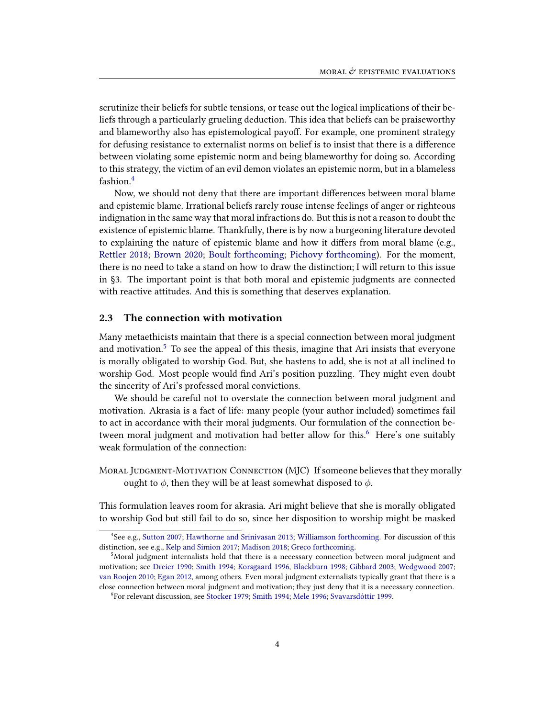scrutinize their beliefs for subtle tensions, or tease out the logical implications of their beliefs through a particularly grueling deduction. This idea that beliefs can be praiseworthy and blameworthy also has epistemological payoff. For example, one prominent strategy for defusing resistance to externalist norms on belief is to insist that there is a difference between violating some epistemic norm and being blameworthy for doing so. According to this strategy, the victim of an evil demon violates an epistemic norm, but in a blameless fashion.[4](#page-3-0)

Now, we should not deny that there are important differences between moral blame and epistemic blame. Irrational beliefs rarely rouse intense feelings of anger or righteous indignation in the same way that moral infractions do. But this is not a reason to doubt the existence of epistemic blame. Thankfully, there is by now a burgeoning literature devoted to explaining the nature of epistemic blame and how it differs from moral blame (e.g., [Rettler](#page-28-5) [2018;](#page-28-5) [Brown](#page-27-10) [2020;](#page-27-10) [Boult](#page-27-11) [forthcoming;](#page-27-11) [Pichovy](#page-28-6) [forthcoming\)](#page-28-6). For the moment, there is no need to take a stand on how to draw the distinction; I will return to this issue in §3. The important point is that both moral and epistemic judgments are connected with reactive attitudes. And this is something that deserves explanation.

#### 2.3 The connection with motivation

Many metaethicists maintain that there is a special connection between moral judgment and motivation. $5$  To see the appeal of this thesis, imagine that Ari insists that everyone is morally obligated to worship God. But, she hastens to add, she is not at all inclined to worship God. Most people would find Ari's position puzzling. They might even doubt the sincerity of Ari's professed moral convictions.

We should be careful not to overstate the connection between moral judgment and motivation. Akrasia is a fact of life: many people (your author included) sometimes fail to act in accordance with their moral judgments. Our formulation of the connection be-tween moral judgment and motivation had better allow for this.<sup>[6](#page-3-2)</sup> Here's one suitably weak formulation of the connection:

MORAL JUDGMENT-MOTIVATION CONNECTION (MJC) If someone believes that they morally ought to  $\phi$ , then they will be at least somewhat disposed to  $\phi$ .

This formulation leaves room for akrasia. Ari might believe that she is morally obligated to worship God but still fail to do so, since her disposition to worship might be masked

<span id="page-3-0"></span><sup>4</sup> See e.g., [Sutton](#page-29-3) [2007;](#page-29-3) [Hawthorne and Srinivasan](#page-27-12) [2013;](#page-27-12) [Williamson](#page-29-4) [forthcoming.](#page-29-4) For discussion of this distinction, see e.g., [Kelp and Simion](#page-27-13) [2017;](#page-27-13) [Madison](#page-28-7) [2018;](#page-28-7) [Greco](#page-27-14) [forthcoming.](#page-27-14)

<span id="page-3-1"></span> $5$ Moral judgment internalists hold that there is a necessary connection between moral judgment and motivation; see [Dreier](#page-27-15) [1990;](#page-27-15) [Smith](#page-28-8) [1994;](#page-28-8) [Korsgaard](#page-27-16) [1996,](#page-27-16) [Blackburn](#page-27-1) [1998;](#page-27-1) [Gibbard](#page-27-2) [2003;](#page-27-2) [Wedgwood](#page-29-5) [2007;](#page-29-5) [van Roojen](#page-29-6) [2010;](#page-29-6) [Egan](#page-27-17) [2012,](#page-27-17) among others. Even moral judgment externalists typically grant that there is a close connection between moral judgment and motivation; they just deny that it is a necessary connection.

<span id="page-3-2"></span><sup>6</sup> For relevant discussion, see [Stocker](#page-29-7) [1979;](#page-29-7) [Smith](#page-28-8) [1994;](#page-28-8) [Mele](#page-28-9) [1996;](#page-28-9) [Svavarsdóttir](#page-29-8) [1999.](#page-29-8)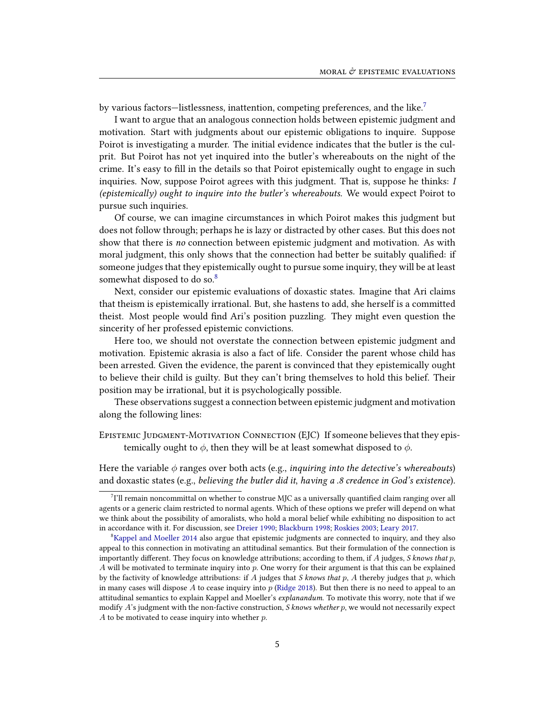by various factors—listlessness, inattention, competing preferences, and the like.<sup>[7](#page-4-0)</sup>

I want to argue that an analogous connection holds between epistemic judgment and motivation. Start with judgments about our epistemic obligations to inquire. Suppose Poirot is investigating a murder. The initial evidence indicates that the butler is the culprit. But Poirot has not yet inquired into the butler's whereabouts on the night of the crime. It's easy to fill in the details so that Poirot epistemically ought to engage in such inquiries. Now, suppose Poirot agrees with this judgment. That is, suppose he thinks: I (epistemically) ought to inquire into the butler's whereabouts. We would expect Poirot to pursue such inquiries.

Of course, we can imagine circumstances in which Poirot makes this judgment but does not follow through; perhaps he is lazy or distracted by other cases. But this does not show that there is no connection between epistemic judgment and motivation. As with moral judgment, this only shows that the connection had better be suitably qualified: if someone judges that they epistemically ought to pursue some inquiry, they will be at least somewhat disposed to do so.<sup>[8](#page-4-1)</sup>

Next, consider our epistemic evaluations of doxastic states. Imagine that Ari claims that theism is epistemically irrational. But, she hastens to add, she herself is a committed theist. Most people would find Ari's position puzzling. They might even question the sincerity of her professed epistemic convictions.

Here too, we should not overstate the connection between epistemic judgment and motivation. Epistemic akrasia is also a fact of life. Consider the parent whose child has been arrested. Given the evidence, the parent is convinced that they epistemically ought to believe their child is guilty. But they can't bring themselves to hold this belief. Their position may be irrational, but it is psychologically possible.

These observations suggest a connection between epistemic judgment and motivation along the following lines:

Epistemic Judgment-Motivation Connection (EJC) If someone believes that they epistemically ought to  $\phi$ , then they will be at least somewhat disposed to  $\phi$ .

Here the variable  $\phi$  ranges over both acts (e.g., *inquiring into the detective's whereabouts*) and doxastic states (e.g., believing the butler did it, having a .8 credence in God's existence).

<span id="page-4-0"></span> $71$ ll remain noncommittal on whether to construe MIC as a universally quantified claim ranging over all agents or a generic claim restricted to normal agents. Which of these options we prefer will depend on what we think about the possibility of amoralists, who hold a moral belief while exhibiting no disposition to act in accordance with it. For discussion, see [Dreier](#page-27-15) [1990;](#page-27-15) [Blackburn](#page-27-1) [1998;](#page-27-1) [Roskies](#page-28-10) [2003;](#page-28-10) [Leary](#page-28-11) [2017.](#page-28-11)

<span id="page-4-1"></span><sup>&</sup>lt;sup>8</sup>[Kappel and Moeller](#page-27-18) [2014](#page-27-18) also argue that epistemic judgments are connected to inquiry, and they also appeal to this connection in motivating an attitudinal semantics. But their formulation of the connection is importantly different. They focus on knowledge attributions; according to them, if  $A$  judges,  $S$  knows that  $p$ , A will be motivated to terminate inquiry into p. One worry for their argument is that this can be explained by the factivity of knowledge attributions: if A judges that S knows that p, A thereby judges that p, which in many cases will dispose  $A$  to cease inquiry into  $p$  [\(Ridge](#page-28-1) [2018\)](#page-28-1). But then there is no need to appeal to an attitudinal semantics to explain Kappel and Moeller's explanandum. To motivate this worry, note that if we modify  $A$ 's judgment with the non-factive construction,  $S$  knows whether  $p$ , we would not necessarily expect  $A$  to be motivated to cease inquiry into whether  $p$ .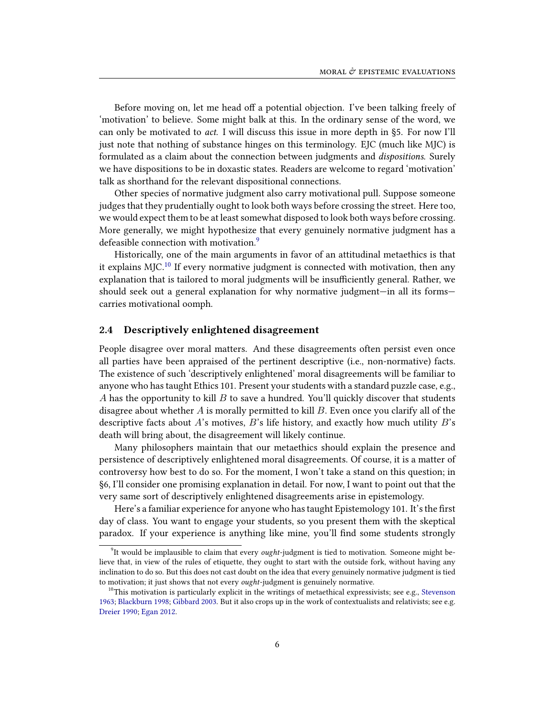Before moving on, let me head off a potential objection. I've been talking freely of 'motivation' to believe. Some might balk at this. In the ordinary sense of the word, we can only be motivated to act. I will discuss this issue in more depth in §5. For now I'll just note that nothing of substance hinges on this terminology. EJC (much like MJC) is formulated as a claim about the connection between judgments and dispositions. Surely we have dispositions to be in doxastic states. Readers are welcome to regard 'motivation' talk as shorthand for the relevant dispositional connections.

Other species of normative judgment also carry motivational pull. Suppose someone judges that they prudentially ought to look both ways before crossing the street. Here too, we would expect them to be at least somewhat disposed to look both ways before crossing. More generally, we might hypothesize that every genuinely normative judgment has a defeasible connection with motivation.<sup>[9](#page-5-0)</sup>

Historically, one of the main arguments in favor of an attitudinal metaethics is that it explains  $MJC<sup>10</sup>$  $MJC<sup>10</sup>$  $MJC<sup>10</sup>$  If every normative judgment is connected with motivation, then any explanation that is tailored to moral judgments will be insufficiently general. Rather, we should seek out a general explanation for why normative judgment—in all its forms carries motivational oomph.

#### 2.4 Descriptively enlightened disagreement

People disagree over moral matters. And these disagreements often persist even once all parties have been appraised of the pertinent descriptive (i.e., non-normative) facts. The existence of such 'descriptively enlightened' moral disagreements will be familiar to anyone who has taught Ethics 101. Present your students with a standard puzzle case, e.g., A has the opportunity to kill  $B$  to save a hundred. You'll quickly discover that students disagree about whether  $A$  is morally permitted to kill  $B$ . Even once you clarify all of the descriptive facts about A's motives, B's life history, and exactly how much utility B's death will bring about, the disagreement will likely continue.

Many philosophers maintain that our metaethics should explain the presence and persistence of descriptively enlightened moral disagreements. Of course, it is a matter of controversy how best to do so. For the moment, I won't take a stand on this question; in §6, I'll consider one promising explanation in detail. For now, I want to point out that the very same sort of descriptively enlightened disagreements arise in epistemology.

Here's a familiar experience for anyone who has taught Epistemology 101. It's the first day of class. You want to engage your students, so you present them with the skeptical paradox. If your experience is anything like mine, you'll find some students strongly

<span id="page-5-0"></span><sup>&</sup>lt;sup>9</sup>It would be implausible to claim that every *ought*-judgment is tied to motivation. Someone might believe that, in view of the rules of etiquette, they ought to start with the outside fork, without having any inclination to do so. But this does not cast doubt on the idea that every genuinely normative judgment is tied to motivation; it just shows that not every ought-judgment is genuinely normative.

<span id="page-5-1"></span> $10$ This motivation is particularly explicit in the writings of metaethical expressivists; see e.g., [Stevenson](#page-29-9) [1963;](#page-29-9) [Blackburn](#page-27-1) [1998;](#page-27-1) [Gibbard](#page-27-2) [2003.](#page-27-2) But it also crops up in the work of contextualists and relativists; see e.g. [Dreier](#page-27-15) [1990;](#page-27-15) [Egan](#page-27-17) [2012.](#page-27-17)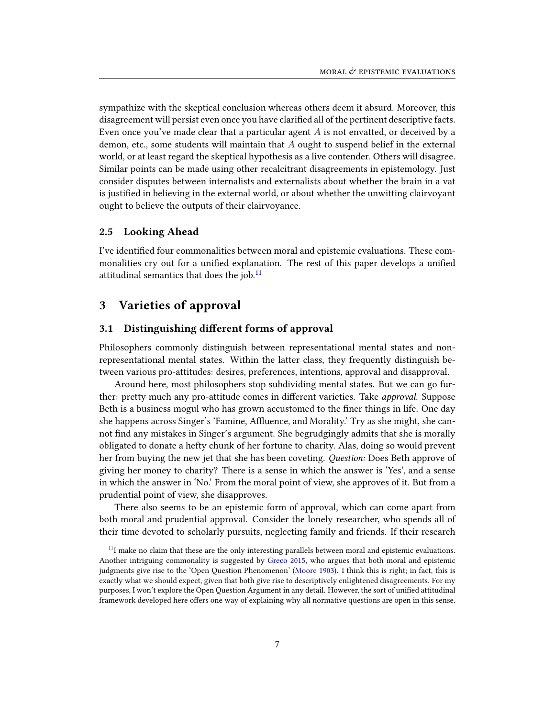sympathize with the skeptical conclusion whereas others deem it absurd. Moreover, this disagreement will persist even once you have clarified all of the pertinent descriptive facts. Even once you've made clear that a particular agent  $A$  is not envatted, or deceived by a demon, etc., some students will maintain that  $A$  ought to suspend belief in the external world, or at least regard the skeptical hypothesis as a live contender. Others will disagree. Similar points can be made using other recalcitrant disagreements in epistemology. Just consider disputes between internalists and externalists about whether the brain in a vat is justied in believing in the external world, or about whether the unwitting clairvoyant ought to believe the outputs of their clairvoyance.

#### 2.5 Looking Ahead

I've identified four commonalities between moral and epistemic evaluations. These commonalities cry out for a unified explanation. The rest of this paper develops a unified attitudinal semantics that does the job.<sup>[11](#page-6-0)</sup>

# 3 Varieties of approval

#### 3.1 Distinguishing different forms of approval

Philosophers commonly distinguish between representational mental states and nonrepresentational mental states. Within the latter class, they frequently distinguish between various pro-attitudes: desires, preferences, intentions, approval and disapproval.

Around here, most philosophers stop subdividing mental states. But we can go further: pretty much any pro-attitude comes in different varieties. Take *approval*. Suppose Beth is a business mogul who has grown accustomed to the finer things in life. One day she happens across Singer's 'Famine, Affluence, and Morality.' Try as she might, she cannot find any mistakes in Singer's argument. She begrudgingly admits that she is morally obligated to donate a hefty chunk of her fortune to charity. Alas, doing so would prevent her from buying the new jet that she has been coveting. Question: Does Beth approve of giving her money to charity? There is a sense in which the answer is 'Yes', and a sense in which the answer in 'No.' From the moral point of view, she approves of it. But from a prudential point of view, she disapproves.

There also seems to be an epistemic form of approval, which can come apart from both moral and prudential approval. Consider the lonely researcher, who spends all of their time devoted to scholarly pursuits, neglecting family and friends. If their research

<span id="page-6-0"></span> $^{11}$  make no claim that these are the only interesting parallels between moral and epistemic evaluations. Another intriguing commonality is suggested by [Greco](#page-27-19) [2015,](#page-27-19) who argues that both moral and epistemic judgments give rise to the 'Open Question Phenomenon' [\(Moore](#page-28-12) [1903\)](#page-28-12). I think this is right; in fact, this is exactly what we should expect, given that both give rise to descriptively enlightened disagreements. For my purposes, I won't explore the Open Question Argument in any detail. However, the sort of unified attitudinal framework developed here offers one way of explaining why all normative questions are open in this sense.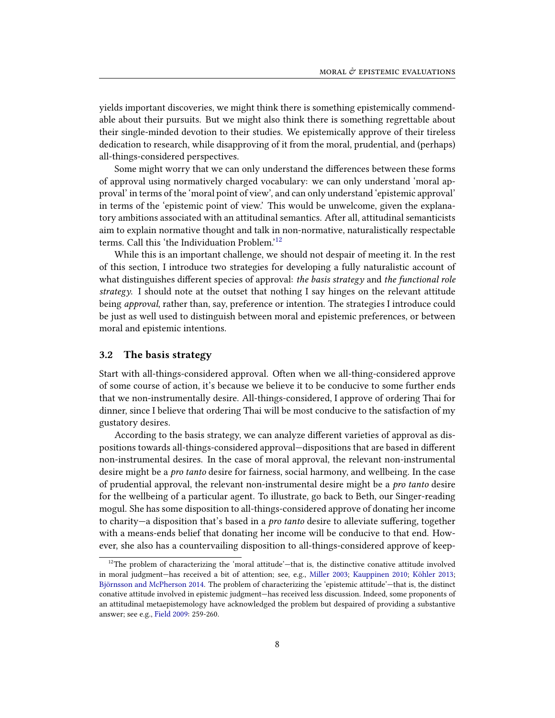yields important discoveries, we might think there is something epistemically commendable about their pursuits. But we might also think there is something regrettable about their single-minded devotion to their studies. We epistemically approve of their tireless dedication to research, while disapproving of it from the moral, prudential, and (perhaps) all-things-considered perspectives.

Some might worry that we can only understand the differences between these forms of approval using normatively charged vocabulary: we can only understand 'moral approval' in terms of the 'moral point of view', and can only understand 'epistemic approval' in terms of the 'epistemic point of view.' This would be unwelcome, given the explanatory ambitions associated with an attitudinal semantics. After all, attitudinal semanticists aim to explain normative thought and talk in non-normative, naturalistically respectable terms. Call this 'the Individuation Problem.'[12](#page-7-0)

While this is an important challenge, we should not despair of meeting it. In the rest of this section, I introduce two strategies for developing a fully naturalistic account of what distinguishes different species of approval: the basis strategy and the functional role strategy. I should note at the outset that nothing I say hinges on the relevant attitude being approval, rather than, say, preference or intention. The strategies I introduce could be just as well used to distinguish between moral and epistemic preferences, or between moral and epistemic intentions.

#### 3.2 The basis strategy

Start with all-things-considered approval. Often when we all-thing-considered approve of some course of action, it's because we believe it to be conducive to some further ends that we non-instrumentally desire. All-things-considered, I approve of ordering Thai for dinner, since I believe that ordering Thai will be most conducive to the satisfaction of my gustatory desires.

According to the basis strategy, we can analyze different varieties of approval as dispositions towards all-things-considered approval—dispositions that are based in different non-instrumental desires. In the case of moral approval, the relevant non-instrumental desire might be a pro tanto desire for fairness, social harmony, and wellbeing. In the case of prudential approval, the relevant non-instrumental desire might be a pro tanto desire for the wellbeing of a particular agent. To illustrate, go back to Beth, our Singer-reading mogul. She has some disposition to all-things-considered approve of donating her income to charity—a disposition that's based in a *pro tanto* desire to alleviate suffering, together with a means-ends belief that donating her income will be conducive to that end. However, she also has a countervailing disposition to all-things-considered approve of keep-

<span id="page-7-0"></span> $12$ The problem of characterizing the 'moral attitude'—that is, the distinctive conative attitude involved in moral judgment—has received a bit of attention; see, e.g., [Miller](#page-28-13) [2003;](#page-28-13) [Kauppinen](#page-27-8) [2010;](#page-27-8) [Köhler](#page-27-20) [2013;](#page-27-20) [Björnsson and McPherson](#page-27-9) [2014.](#page-27-9) The problem of characterizing the 'epistemic attitude'—that is, the distinct conative attitude involved in epistemic judgment—has received less discussion. Indeed, some proponents of an attitudinal metaepistemology have acknowledged the problem but despaired of providing a substantive answer; see e.g., [Field](#page-27-4) [2009:](#page-27-4) 259-260.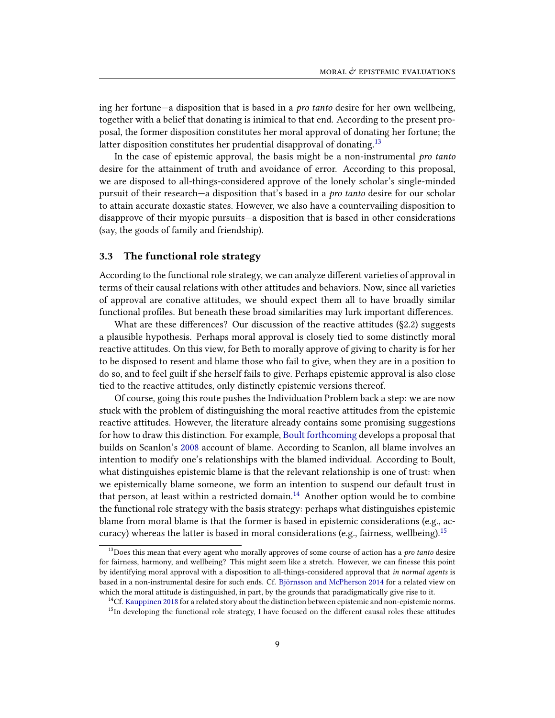ing her fortune—a disposition that is based in a pro tanto desire for her own wellbeing, together with a belief that donating is inimical to that end. According to the present proposal, the former disposition constitutes her moral approval of donating her fortune; the latter disposition constitutes her prudential disapproval of donating.<sup>[13](#page-8-0)</sup>

In the case of epistemic approval, the basis might be a non-instrumental *pro tanto* desire for the attainment of truth and avoidance of error. According to this proposal, we are disposed to all-things-considered approve of the lonely scholar's single-minded pursuit of their research—a disposition that's based in a pro tanto desire for our scholar to attain accurate doxastic states. However, we also have a countervailing disposition to disapprove of their myopic pursuits—a disposition that is based in other considerations (say, the goods of family and friendship).

#### 3.3 The functional role strategy

According to the functional role strategy, we can analyze different varieties of approval in terms of their causal relations with other attitudes and behaviors. Now, since all varieties of approval are conative attitudes, we should expect them all to have broadly similar functional profiles. But beneath these broad similarities may lurk important differences.

What are these differences? Our discussion of the reactive attitudes  $(\S2.2)$  suggests a plausible hypothesis. Perhaps moral approval is closely tied to some distinctly moral reactive attitudes. On this view, for Beth to morally approve of giving to charity is for her to be disposed to resent and blame those who fail to give, when they are in a position to do so, and to feel guilt if she herself fails to give. Perhaps epistemic approval is also close tied to the reactive attitudes, only distinctly epistemic versions thereof.

Of course, going this route pushes the Individuation Problem back a step: we are now stuck with the problem of distinguishing the moral reactive attitudes from the epistemic reactive attitudes. However, the literature already contains some promising suggestions for how to draw this distinction. For example, [Boult](#page-27-11) [forthcoming](#page-27-11) develops a proposal that builds on Scanlon's [2008](#page-28-14) account of blame. According to Scanlon, all blame involves an intention to modify one's relationships with the blamed individual. According to Boult, what distinguishes epistemic blame is that the relevant relationship is one of trust: when we epistemically blame someone, we form an intention to suspend our default trust in that person, at least within a restricted domain.<sup>[14](#page-8-1)</sup> Another option would be to combine the functional role strategy with the basis strategy: perhaps what distinguishes epistemic blame from moral blame is that the former is based in epistemic considerations (e.g., ac-curacy) whereas the latter is based in moral considerations (e.g., fairness, wellbeing).<sup>[15](#page-8-2)</sup>

<span id="page-8-0"></span> $13$ Does this mean that every agent who morally approves of some course of action has a *pro tanto* desire for fairness, harmony, and wellbeing? This might seem like a stretch. However, we can finesse this point by identifying moral approval with a disposition to all-things-considered approval that in normal agents is based in a non-instrumental desire for such ends. Cf. [Björnsson and McPherson](#page-27-9) [2014](#page-27-9) for a related view on which the moral attitude is distinguished, in part, by the grounds that paradigmatically give rise to it.

<span id="page-8-1"></span> $^{14}$ Cf. [Kauppinen](#page-27-21) [2018](#page-27-21) for a related story about the distinction between epistemic and non-epistemic norms.

<span id="page-8-2"></span> $15$ In developing the functional role strategy, I have focused on the different causal roles these attitudes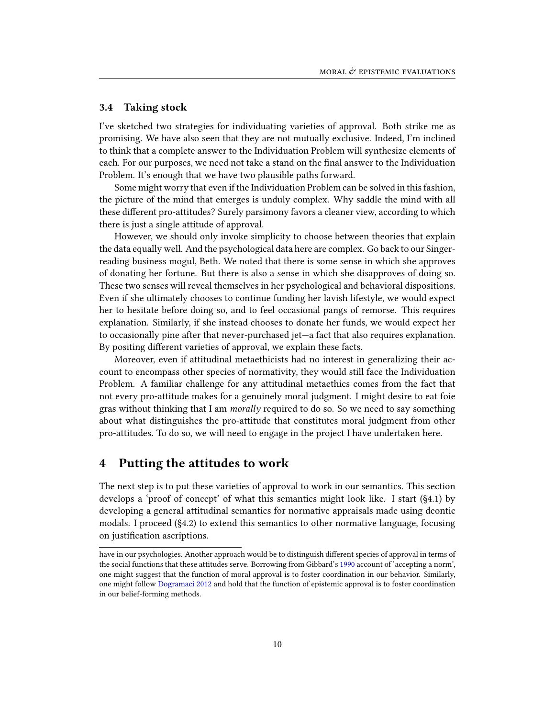#### 3.4 Taking stock

I've sketched two strategies for individuating varieties of approval. Both strike me as promising. We have also seen that they are not mutually exclusive. Indeed, I'm inclined to think that a complete answer to the Individuation Problem will synthesize elements of each. For our purposes, we need not take a stand on the final answer to the Individuation Problem. It's enough that we have two plausible paths forward.

Some might worry that even if the Individuation Problem can be solved in this fashion, the picture of the mind that emerges is unduly complex. Why saddle the mind with all these different pro-attitudes? Surely parsimony favors a cleaner view, according to which there is just a single attitude of approval.

However, we should only invoke simplicity to choose between theories that explain the data equally well. And the psychological data here are complex. Go back to our Singerreading business mogul, Beth. We noted that there is some sense in which she approves of donating her fortune. But there is also a sense in which she disapproves of doing so. These two senses will reveal themselves in her psychological and behavioral dispositions. Even if she ultimately chooses to continue funding her lavish lifestyle, we would expect her to hesitate before doing so, and to feel occasional pangs of remorse. This requires explanation. Similarly, if she instead chooses to donate her funds, we would expect her to occasionally pine after that never-purchased jet—a fact that also requires explanation. By positing different varieties of approval, we explain these facts.

Moreover, even if attitudinal metaethicists had no interest in generalizing their account to encompass other species of normativity, they would still face the Individuation Problem. A familiar challenge for any attitudinal metaethics comes from the fact that not every pro-attitude makes for a genuinely moral judgment. I might desire to eat foie gras without thinking that I am morally required to do so. So we need to say something about what distinguishes the pro-attitude that constitutes moral judgment from other pro-attitudes. To do so, we will need to engage in the project I have undertaken here.

# 4 Putting the attitudes to work

The next step is to put these varieties of approval to work in our semantics. This section develops a 'proof of concept' of what this semantics might look like. I start (§4.1) by developing a general attitudinal semantics for normative appraisals made using deontic modals. I proceed (§4.2) to extend this semantics to other normative language, focusing on justification ascriptions.

have in our psychologies. Another approach would be to distinguish different species of approval in terms of the social functions that these attitudes serve. Borrowing from Gibbard's [1990](#page-27-7) account of 'accepting a norm', one might suggest that the function of moral approval is to foster coordination in our behavior. Similarly, one might follow [Dogramaci](#page-27-22) [2012](#page-27-22) and hold that the function of epistemic approval is to foster coordination in our belief-forming methods.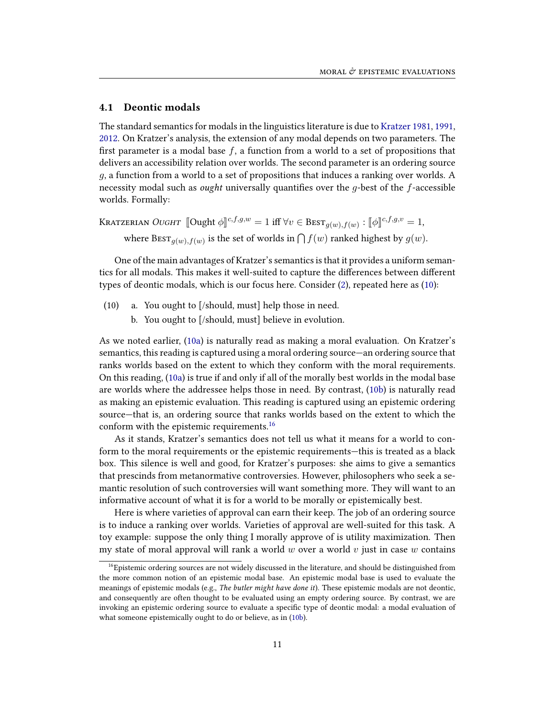#### 4.1 Deontic modals

The standard semantics for modals in the linguistics literature is due to [Kratzer](#page-27-23) [1981,](#page-27-23) [1991,](#page-27-24) [2012.](#page-27-25) On Kratzer's analysis, the extension of any modal depends on two parameters. The first parameter is a modal base  $f$ , a function from a world to a set of propositions that delivers an accessibility relation over worlds. The second parameter is an ordering source g, a function from a world to a set of propositions that induces a ranking over worlds. A necessity modal such as *ought* universally quantifies over the  $q$ -best of the  $f$ -accessible worlds. Formally:

Kratzerian Ought  $\phi$ ] $^{c,f,g,w} = 1$  iff  $\forall v \in \text{Best}_{g(w),f(w)}: [\![\phi]\!]^{c,f,g,v} = 1,$ where  $\text{Bes}_{g(w),f(w)}$  is the set of worlds in  $\bigcap f(w)$  ranked highest by  $g(w)$ .

One of the main advantages of Kratzer's semantics is that it provides a uniform semantics for all modals. This makes it well-suited to capture the differences between different types of deontic modals, which is our focus here. Consider [\(2\)](#page-1-1), repeated here as [\(10\)](#page-10-0):

- <span id="page-10-1"></span><span id="page-10-0"></span>(10) a. You ought to [/should, must] help those in need.
	- b. You ought to [/should, must] believe in evolution.

As we noted earlier, [\(10a\)](#page-10-0) is naturally read as making a moral evaluation. On Kratzer's semantics, this reading is captured using a moral ordering source—an ordering source that ranks worlds based on the extent to which they conform with the moral requirements. On this reading, [\(10a\)](#page-10-0) is true if and only if all of the morally best worlds in the modal base are worlds where the addressee helps those in need. By contrast, [\(10b\)](#page-10-1) is naturally read as making an epistemic evaluation. This reading is captured using an epistemic ordering source—that is, an ordering source that ranks worlds based on the extent to which the conform with the epistemic requirements.<sup>[16](#page-10-2)</sup>

As it stands, Kratzer's semantics does not tell us what it means for a world to conform to the moral requirements or the epistemic requirements—this is treated as a black box. This silence is well and good, for Kratzer's purposes: she aims to give a semantics that prescinds from metanormative controversies. However, philosophers who seek a semantic resolution of such controversies will want something more. They will want to an informative account of what it is for a world to be morally or epistemically best.

Here is where varieties of approval can earn their keep. The job of an ordering source is to induce a ranking over worlds. Varieties of approval are well-suited for this task. A toy example: suppose the only thing I morally approve of is utility maximization. Then my state of moral approval will rank a world w over a world v just in case w contains

<span id="page-10-2"></span> $16E$ pistemic ordering sources are not widely discussed in the literature, and should be distinguished from the more common notion of an epistemic modal base. An epistemic modal base is used to evaluate the meanings of epistemic modals (e.g., The butler might have done it). These epistemic modals are not deontic, and consequently are often thought to be evaluated using an empty ordering source. By contrast, we are invoking an epistemic ordering source to evaluate a specific type of deontic modal: a modal evaluation of what someone epistemically ought to do or believe, as in [\(10b\)](#page-10-1).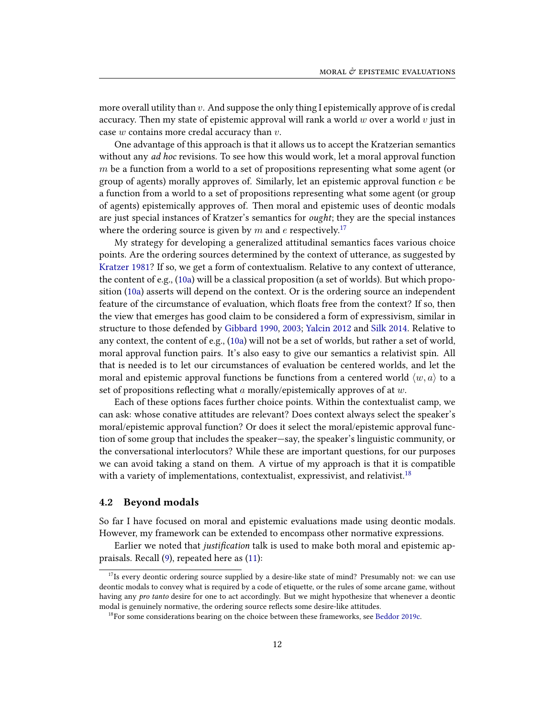more overall utility than  $v$ . And suppose the only thing I epistemically approve of is credal accuracy. Then my state of epistemic approval will rank a world  $w$  over a world  $v$  just in case w contains more credal accuracy than v.

One advantage of this approach is that it allows us to accept the Kratzerian semantics without any *ad hoc* revisions. To see how this would work, let a moral approval function m be a function from a world to a set of propositions representing what some agent (or group of agents) morally approves of. Similarly, let an epistemic approval function  $e$  be a function from a world to a set of propositions representing what some agent (or group of agents) epistemically approves of. Then moral and epistemic uses of deontic modals are just special instances of Kratzer's semantics for ought; they are the special instances where the ordering source is given by m and e respectively.<sup>[17](#page-11-0)</sup>

My strategy for developing a generalized attitudinal semantics faces various choice points. Are the ordering sources determined by the context of utterance, as suggested by [Kratzer](#page-27-23) [1981?](#page-27-23) If so, we get a form of contextualism. Relative to any context of utterance, the content of e.g., [\(10a\)](#page-10-0) will be a classical proposition (a set of worlds). But which proposition [\(10a\)](#page-10-0) asserts will depend on the context. Or is the ordering source an independent feature of the circumstance of evaluation, which floats free from the context? If so, then the view that emerges has good claim to be considered a form of expressivism, similar in structure to those defended by [Gibbard](#page-27-7) [1990,](#page-27-7) [2003;](#page-27-2) [Yalcin](#page-29-10) [2012](#page-29-10) and [Silk](#page-28-15) [2014.](#page-28-15) Relative to any context, the content of e.g., [\(10a\)](#page-10-0) will not be a set of worlds, but rather a set of world, moral approval function pairs. It's also easy to give our semantics a relativist spin. All that is needed is to let our circumstances of evaluation be centered worlds, and let the moral and epistemic approval functions be functions from a centered world  $\langle w, a \rangle$  to a set of propositions reflecting what  $a$  morally/epistemically approves of at  $w$ .

Each of these options faces further choice points. Within the contextualist camp, we can ask: whose conative attitudes are relevant? Does context always select the speaker's moral/epistemic approval function? Or does it select the moral/epistemic approval function of some group that includes the speaker—say, the speaker's linguistic community, or the conversational interlocutors? While these are important questions, for our purposes we can avoid taking a stand on them. A virtue of my approach is that it is compatible with a variety of implementations, contextualist, expressivist, and relativist.<sup>[18](#page-11-1)</sup>

#### 4.2 Beyond modals

So far I have focused on moral and epistemic evaluations made using deontic modals. However, my framework can be extended to encompass other normative expressions.

Earlier we noted that *justification* talk is used to make both moral and epistemic appraisals. Recall [\(9\)](#page-2-4), repeated here as [\(11\)](#page-12-0):

<span id="page-11-0"></span><sup>&</sup>lt;sup>17</sup>Is every deontic ordering source supplied by a desire-like state of mind? Presumably not: we can use deontic modals to convey what is required by a code of etiquette, or the rules of some arcane game, without having any pro tanto desire for one to act accordingly. But we might hypothesize that whenever a deontic modal is genuinely normative, the ordering source reflects some desire-like attitudes.

<span id="page-11-1"></span> $^{18}\!$  For some considerations bearing on the choice between these frameworks, see [Beddor](#page-27-26) [2019c.](#page-27-26)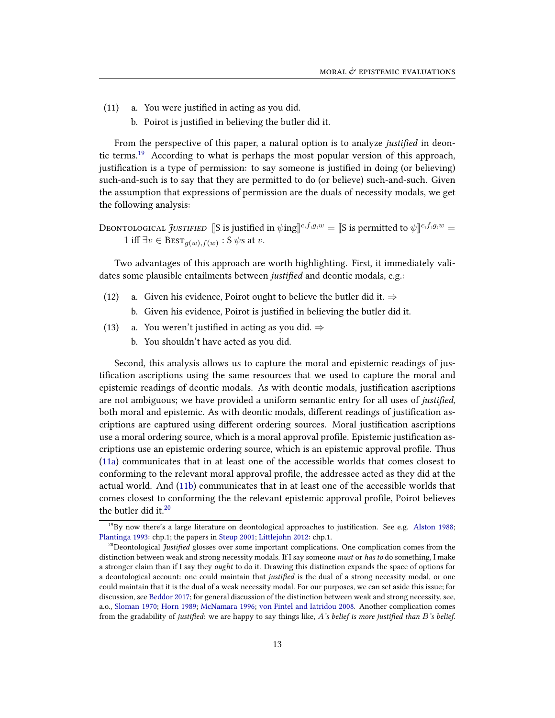- <span id="page-12-2"></span><span id="page-12-0"></span> $(11)$  a. You were justified in acting as you did.
	- b. Poirot is justified in believing the butler did it.

From the perspective of this paper, a natural option is to analyze *justified* in deon-tic terms.<sup>[19](#page-12-1)</sup> According to what is perhaps the most popular version of this approach, justification is a type of permission: to say someone is justified in doing (or believing) such-and-such is to say that they are permitted to do (or believe) such-and-such. Given the assumption that expressions of permission are the duals of necessity modals, we get the following analysis:

DEONTOLOGICAL JUSTIFIED  $\llbracket S$  is justified in  $\psi$ ing $\rrbracket^{c,f,g,w} = \llbracket S$  is permitted to  $\psi \rrbracket^{c,f,g,w} = 1$ 1 iff  $\exists v \in \text{Bes}_{g(w), f(w)}: S \psi s$  at v.

Two advantages of this approach are worth highlighting. First, it immediately validates some plausible entailments between justified and deontic modals, e.g.:

- (12) a. Given his evidence, Poirot ought to believe the butler did it.  $\Rightarrow$ 
	- b. Given his evidence, Poirot is justified in believing the butler did it.
- (13) a. You weren't justified in acting as you did.  $\Rightarrow$ 
	- b. You shouldn't have acted as you did.

Second, this analysis allows us to capture the moral and epistemic readings of justification ascriptions using the same resources that we used to capture the moral and epistemic readings of deontic modals. As with deontic modals, justification ascriptions are not ambiguous; we have provided a uniform semantic entry for all uses of *justified*, both moral and epistemic. As with deontic modals, different readings of justification ascriptions are captured using different ordering sources. Moral justification ascriptions use a moral ordering source, which is a moral approval profile. Epistemic justification ascriptions use an epistemic ordering source, which is an epistemic approval prole. Thus [\(11a\)](#page-12-0) communicates that in at least one of the accessible worlds that comes closest to conforming to the relevant moral approval profile, the addressee acted as they did at the actual world. And [\(11b\)](#page-12-2) communicates that in at least one of the accessible worlds that comes closest to conforming the the relevant epistemic approval profile, Poirot believes the butler did it. $20$ 

<span id="page-12-1"></span> $19By$  now there's a large literature on deontological approaches to justification. See e.g. [Alston](#page-26-0) [1988;](#page-26-0) [Plantinga](#page-28-16) [1993:](#page-28-16) chp.1; the papers in [Steup](#page-29-11) [2001;](#page-29-11) [Littlejohn](#page-28-17) [2012:](#page-28-17) chp.1.

<span id="page-12-3"></span><sup>&</sup>lt;sup>20</sup>Deontological *Justified* glosses over some important complications. One complication comes from the distinction between weak and strong necessity modals. If I say someone must or has to do something, I make a stronger claim than if I say they ought to do it. Drawing this distinction expands the space of options for a deontological account: one could maintain that justified is the dual of a strong necessity modal, or one could maintain that it is the dual of a weak necessity modal. For our purposes, we can set aside this issue; for discussion, see [Beddor](#page-26-1) [2017;](#page-26-1) for general discussion of the distinction between weak and strong necessity, see, a.o., [Sloman](#page-28-18) [1970;](#page-28-18) [Horn](#page-27-27) [1989;](#page-27-27) [McNamara](#page-28-19) [1996;](#page-28-19) [von Fintel and Iatridou](#page-29-12) [2008.](#page-29-12) Another complication comes from the gradability of justified: we are happy to say things like,  $A$ 's belief is more justified than  $B$ 's belief.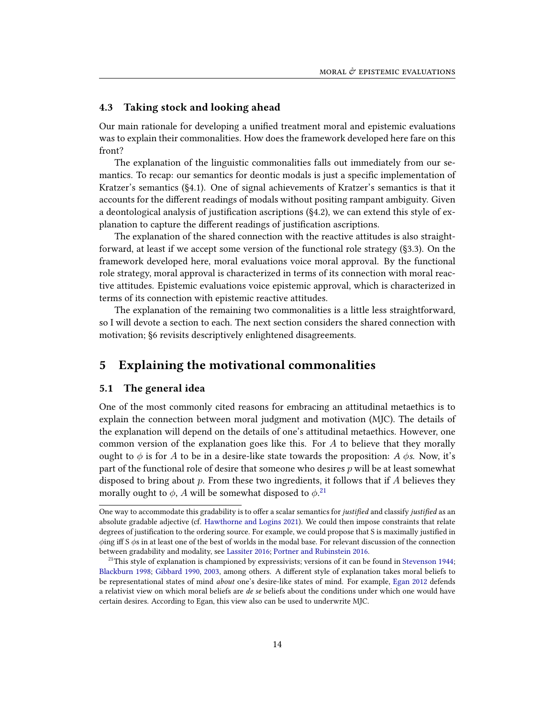#### 4.3 Taking stock and looking ahead

Our main rationale for developing a unified treatment moral and epistemic evaluations was to explain their commonalities. How does the framework developed here fare on this front?

The explanation of the linguistic commonalities falls out immediately from our semantics. To recap: our semantics for deontic modals is just a specific implementation of Kratzer's semantics (§4.1). One of signal achievements of Kratzer's semantics is that it accounts for the different readings of modals without positing rampant ambiguity. Given a deontological analysis of justification ascriptions  $(\S4.2)$ , we can extend this style of explanation to capture the different readings of justification ascriptions.

The explanation of the shared connection with the reactive attitudes is also straightforward, at least if we accept some version of the functional role strategy (§3.3). On the framework developed here, moral evaluations voice moral approval. By the functional role strategy, moral approval is characterized in terms of its connection with moral reactive attitudes. Epistemic evaluations voice epistemic approval, which is characterized in terms of its connection with epistemic reactive attitudes.

The explanation of the remaining two commonalities is a little less straightforward, so I will devote a section to each. The next section considers the shared connection with motivation; §6 revisits descriptively enlightened disagreements.

# 5 Explaining the motivational commonalities

#### 5.1 The general idea

One of the most commonly cited reasons for embracing an attitudinal metaethics is to explain the connection between moral judgment and motivation (MJC). The details of the explanation will depend on the details of one's attitudinal metaethics. However, one common version of the explanation goes like this. For A to believe that they morally ought to  $\phi$  is for A to be in a desire-like state towards the proposition: A  $\phi$ s. Now, it's part of the functional role of desire that someone who desires  $p$  will be at least somewhat disposed to bring about  $p$ . From these two ingredients, it follows that if  $A$  believes they morally ought to  $\phi$ , A will be somewhat disposed to  $\phi$ .<sup>[21](#page-13-0)</sup>

One way to accommodate this gradability is to offer a scalar semantics for *justified* and classify *justified* as an absolute gradable adjective (cf. [Hawthorne and Logins](#page-27-28) [2021\)](#page-27-28). We could then impose constraints that relate degrees of justification to the ordering source. For example, we could propose that S is maximally justified in  $\phi$ ing iff S  $\phi$ s in at least one of the best of worlds in the modal base. For relevant discussion of the connection between gradability and modality, see [Lassiter](#page-28-20) [2016;](#page-28-20) [Portner and Rubinstein](#page-28-21) [2016.](#page-28-21)

<span id="page-13-0"></span><sup>&</sup>lt;sup>21</sup>This style of explanation is championed by expressivists; versions of it can be found in [Stevenson](#page-29-13) [1944;](#page-29-13) [Blackburn](#page-27-1) [1998;](#page-27-1) [Gibbard](#page-27-7) [1990,](#page-27-7) [2003,](#page-27-2) among others. A different style of explanation takes moral beliefs to be representational states of mind about one's desire-like states of mind. For example, [Egan](#page-27-17) [2012](#page-27-17) defends a relativist view on which moral beliefs are de se beliefs about the conditions under which one would have certain desires. According to Egan, this view also can be used to underwrite MJC.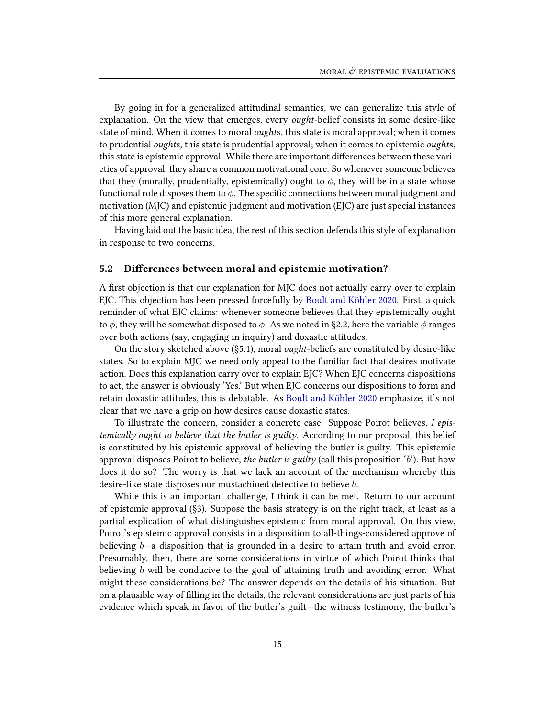By going in for a generalized attitudinal semantics, we can generalize this style of explanation. On the view that emerges, every *ought*-belief consists in some desire-like state of mind. When it comes to moral oughts, this state is moral approval; when it comes to prudential oughts, this state is prudential approval; when it comes to epistemic oughts, this state is epistemic approval. While there are important differences between these varieties of approval, they share a common motivational core. So whenever someone believes that they (morally, prudentially, epistemically) ought to  $\phi$ , they will be in a state whose functional role disposes them to  $\phi$ . The specific connections between moral judgment and motivation (MJC) and epistemic judgment and motivation (EJC) are just special instances of this more general explanation.

Having laid out the basic idea, the rest of this section defends this style of explanation in response to two concerns.

#### 5.2 Differences between moral and epistemic motivation?

A first objection is that our explanation for MJC does not actually carry over to explain EJC. This objection has been pressed forcefully by [Boult and Köhler](#page-27-0) [2020.](#page-27-0) First, a quick reminder of what EJC claims: whenever someone believes that they epistemically ought to  $\phi$ , they will be somewhat disposed to  $\phi$ . As we noted in §2.2, here the variable  $\phi$  ranges over both actions (say, engaging in inquiry) and doxastic attitudes.

On the story sketched above (§5.1), moral ought-beliefs are constituted by desire-like states. So to explain MJC we need only appeal to the familiar fact that desires motivate action. Does this explanation carry over to explain EJC? When EJC concerns dispositions to act, the answer is obviously 'Yes.' But when EJC concerns our dispositions to form and retain doxastic attitudes, this is debatable. As [Boult and Köhler](#page-27-0) [2020](#page-27-0) emphasize, it's not clear that we have a grip on how desires cause doxastic states.

To illustrate the concern, consider a concrete case. Suppose Poirot believes, I epistemically ought to believe that the butler is guilty. According to our proposal, this belief is constituted by his epistemic approval of believing the butler is guilty. This epistemic approval disposes Poirot to believe, the butler is guilty (call this proposition  $b'$ ). But how does it do so? The worry is that we lack an account of the mechanism whereby this desire-like state disposes our mustachioed detective to believe b.

While this is an important challenge, I think it can be met. Return to our account of epistemic approval (§3). Suppose the basis strategy is on the right track, at least as a partial explication of what distinguishes epistemic from moral approval. On this view, Poirot's epistemic approval consists in a disposition to all-things-considered approve of believing  $b-a$  disposition that is grounded in a desire to attain truth and avoid error. Presumably, then, there are some considerations in virtue of which Poirot thinks that believing  $b$  will be conducive to the goal of attaining truth and avoiding error. What might these considerations be? The answer depends on the details of his situation. But on a plausible way of lling in the details, the relevant considerations are just parts of his evidence which speak in favor of the butler's guilt—the witness testimony, the butler's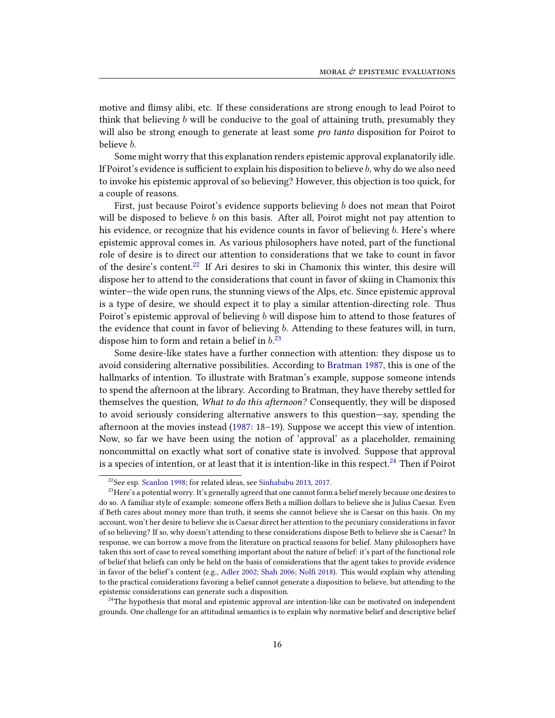motive and flimsy alibi, etc. If these considerations are strong enough to lead Poirot to think that believing  $b$  will be conducive to the goal of attaining truth, presumably they will also be strong enough to generate at least some *pro tanto* disposition for Poirot to believe b.

Some might worry that this explanation renders epistemic approval explanatorily idle. If Poirot's evidence is sufficient to explain his disposition to believe  $b$ , why do we also need to invoke his epistemic approval of so believing? However, this objection is too quick, for a couple of reasons.

First, just because Poirot's evidence supports believing b does not mean that Poirot will be disposed to believe  $b$  on this basis. After all, Poirot might not pay attention to his evidence, or recognize that his evidence counts in favor of believing b. Here's where epistemic approval comes in. As various philosophers have noted, part of the functional role of desire is to direct our attention to considerations that we take to count in favor of the desire's content.<sup>[22](#page-15-0)</sup> If Ari desires to ski in Chamonix this winter, this desire will dispose her to attend to the considerations that count in favor of skiing in Chamonix this winter—the wide open runs, the stunning views of the Alps, etc. Since epistemic approval is a type of desire, we should expect it to play a similar attention-directing role. Thus Poirot's epistemic approval of believing b will dispose him to attend to those features of the evidence that count in favor of believing b. Attending to these features will, in turn, dispose him to form and retain a belief in  $b$ .<sup>[23](#page-15-1)</sup>

Some desire-like states have a further connection with attention: they dispose us to avoid considering alternative possibilities. According to [Bratman](#page-27-29) [1987,](#page-27-29) this is one of the hallmarks of intention. To illustrate with Bratman's example, suppose someone intends to spend the afternoon at the library. According to Bratman, they have thereby settled for themselves the question, What to do this afternoon? Consequently, they will be disposed to avoid seriously considering alternative answers to this question—say, spending the afternoon at the movies instead [\(1987:](#page-27-29) 18–19). Suppose we accept this view of intention. Now, so far we have been using the notion of 'approval' as a placeholder, remaining noncommittal on exactly what sort of conative state is involved. Suppose that approval is a species of intention, or at least that it is intention-like in this respect.<sup>[24](#page-15-2)</sup> Then if Poirot

<span id="page-15-2"></span> $24$ The hypothesis that moral and epistemic approval are intention-like can be motivated on independent grounds. One challenge for an attitudinal semantics is to explain why normative belief and descriptive belief

<span id="page-15-1"></span><span id="page-15-0"></span><sup>&</sup>lt;sup>22</sup>See esp. [Scanlon](#page-28-22) [1998;](#page-28-22) for related ideas, see [Sinhababu](#page-28-23) [2013,](#page-28-23) [2017.](#page-28-24)

 $^{23}$ Here's a potential worry. It's generally agreed that one cannot form a belief merely because one desires to do so. A familiar style of example: someone offers Beth a million dollars to believe she is Julius Caesar. Even if Beth cares about money more than truth, it seems she cannot believe she is Caesar on this basis. On my account, won't her desire to believe she is Caesar direct her attention to the pecuniary considerations in favor of so believing? If so, why doesn't attending to these considerations dispose Beth to believe she is Caesar? In response, we can borrow a move from the literature on practical reasons for belief. Many philosophers have taken this sort of case to reveal something important about the nature of belief: it's part of the functional role of belief that beliefs can only be held on the basis of considerations that the agent takes to provide evidence in favor of the belief's content (e.g., [Adler](#page-26-2) [2002;](#page-26-2) [Shah](#page-28-25) [2006;](#page-28-25) [Nol](#page-28-26)fi [2018\)](#page-28-26). This would explain why attending to the practical considerations favoring a belief cannot generate a disposition to believe, but attending to the epistemic considerations can generate such a disposition.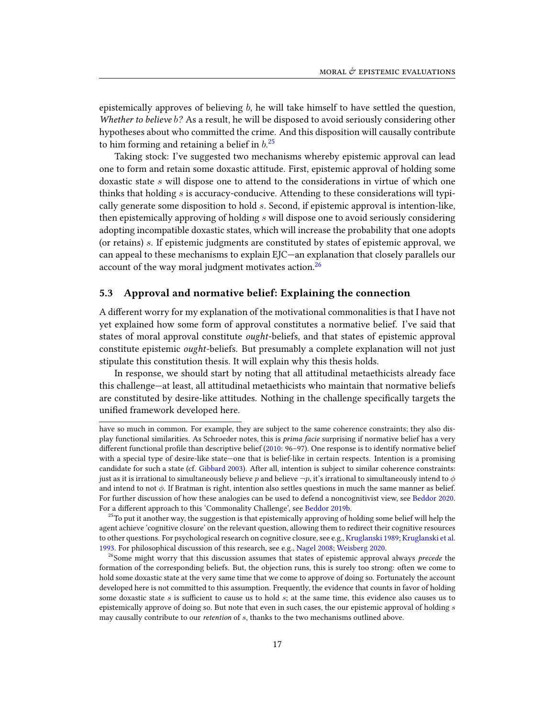epistemically approves of believing b, he will take himself to have settled the question, Whether to believe b? As a result, he will be disposed to avoid seriously considering other hypotheses about who committed the crime. And this disposition will causally contribute to him forming and retaining a belief in  $b$ <sup>[25](#page-16-0)</sup>

Taking stock: I've suggested two mechanisms whereby epistemic approval can lead one to form and retain some doxastic attitude. First, epistemic approval of holding some doxastic state s will dispose one to attend to the considerations in virtue of which one thinks that holding s is accuracy-conducive. Attending to these considerations will typically generate some disposition to hold s. Second, if epistemic approval is intention-like, then epistemically approving of holding s will dispose one to avoid seriously considering adopting incompatible doxastic states, which will increase the probability that one adopts (or retains) s. If epistemic judgments are constituted by states of epistemic approval, we can appeal to these mechanisms to explain EJC—an explanation that closely parallels our account of the way moral judgment motivates action.<sup>[26](#page-16-1)</sup>

#### 5.3 Approval and normative belief: Explaining the connection

A different worry for my explanation of the motivational commonalities is that I have not yet explained how some form of approval constitutes a normative belief. I've said that states of moral approval constitute ought-beliefs, and that states of epistemic approval constitute epistemic ought-beliefs. But presumably a complete explanation will not just stipulate this constitution thesis. It will explain why this thesis holds.

In response, we should start by noting that all attitudinal metaethicists already face this challenge—at least, all attitudinal metaethicists who maintain that normative beliefs are constituted by desire-like attitudes. Nothing in the challenge specifically targets the unified framework developed here.

have so much in common. For example, they are subject to the same coherence constraints; they also display functional similarities. As Schroeder notes, this is prima facie surprising if normative belief has a very different functional profile than descriptive belief [\(2010:](#page-28-27) 96-97). One response is to identify normative belief with a special type of desire-like state—one that is belief-like in certain respects. Intention is a promising candidate for such a state (cf. [Gibbard](#page-27-2) [2003\)](#page-27-2). After all, intention is subject to similar coherence constraints: just as it is irrational to simultaneously believe  $p$  and believe  $\neg p$ , it's irrational to simultaneously intend to  $\phi$ and intend to not  $\phi$ . If Bratman is right, intention also settles questions in much the same manner as belief. For further discussion of how these analogies can be used to defend a noncognitivist view, see [Beddor](#page-27-30) [2020.](#page-27-30) For a different approach to this 'Commonality Challenge', see [Beddor](#page-26-3) [2019b.](#page-26-3)

<span id="page-16-0"></span> $^{25}$ To put it another way, the suggestion is that epistemically approving of holding some belief will help the agent achieve 'cognitive closure' on the relevant question, allowing them to redirect their cognitive resources to other questions. For psychological research on cognitive closure, see e.g., [Kruglanski](#page-28-28) [1989;](#page-28-28) [Kruglanski et al.](#page-28-29) [1993.](#page-28-29) For philosophical discussion of this research, see e.g., [Nagel](#page-28-30) [2008;](#page-28-30) [Weisberg](#page-29-14) [2020.](#page-29-14)

<span id="page-16-1"></span> $26$ Some might worry that this discussion assumes that states of epistemic approval always *precede* the formation of the corresponding beliefs. But, the objection runs, this is surely too strong: often we come to hold some doxastic state at the very same time that we come to approve of doing so. Fortunately the account developed here is not committed to this assumption. Frequently, the evidence that counts in favor of holding some doxastic state  $s$  is sufficient to cause us to hold  $s$ ; at the same time, this evidence also causes us to epistemically approve of doing so. But note that even in such cases, the our epistemic approval of holding s may causally contribute to our retention of s, thanks to the two mechanisms outlined above.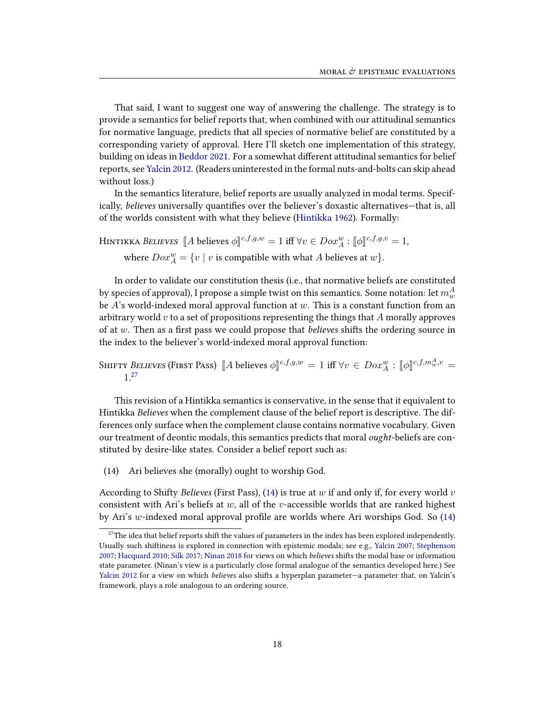That said, I want to suggest one way of answering the challenge. The strategy is to provide a semantics for belief reports that, when combined with our attitudinal semantics for normative language, predicts that all species of normative belief are constituted by a corresponding variety of approval. Here I'll sketch one implementation of this strategy, building on ideas in [Beddor](#page-27-31) [2021.](#page-27-31) For a somewhat different attitudinal semantics for belief reports, see [Yalcin](#page-29-10) [2012.](#page-29-10) (Readers uninterested in the formal nuts-and-bolts can skip ahead without loss.)

In the semantics literature, belief reports are usually analyzed in modal terms. Specifically, *believes* universally quantifies over the believer's doxastic alternatives—that is, all of the worlds consistent with what they believe [\(Hintikka](#page-27-32) [1962\)](#page-27-32). Formally:

HINTIKKA *BELIEVES*  $\llbracket A$  believes  $\phi \rrbracket^{c,f,g,w} = 1$  iff  $\forall v \in Dox_A^w : \llbracket \phi \rrbracket^{c,f,g,v} = 1$ , where  $Dox_A^w = \{v \mid v \text{ is compatible with what } A \text{ believes at } w\}.$ 

In order to validate our constitution thesis (i.e., that normative beliefs are constituted by species of approval), I propose a simple twist on this semantics. Some notation: let  $m^A_w$ be  $A$ 's world-indexed moral approval function at w. This is a constant function from an arbitrary world  $v$  to a set of propositions representing the things that  $A$  morally approves of at  $w$ . Then as a first pass we could propose that *believes* shifts the ordering source in the index to the believer's world-indexed moral approval function:

SHIFTY BELIEVES (FIRST PASS)  $\llbracket A$  believes  $\phi \rrbracket^{c,f,g,w} = 1$  iff  $\forall v \in Dox_A^w : \llbracket \phi \rrbracket^{c,f,m_w^A,v} = 1$ 1. [27](#page-17-0)

This revision of a Hintikka semantics is conservative, in the sense that it equivalent to Hintikka Believes when the complement clause of the belief report is descriptive. The differences only surface when the complement clause contains normative vocabulary. Given our treatment of deontic modals, this semantics predicts that moral ought-beliefs are constituted by desire-like states. Consider a belief report such as:

<span id="page-17-1"></span>(14) Ari believes she (morally) ought to worship God.

According to Shifty Believes (First Pass), [\(14\)](#page-17-1) is true at  $w$  if and only if, for every world  $v$ consistent with Ari's beliefs at  $w$ , all of the  $v$ -accessible worlds that are ranked highest by Ari's w-indexed moral approval profile are worlds where Ari worships God. So  $(14)$ 

<span id="page-17-0"></span> $27$ The idea that belief reports shift the values of parameters in the index has been explored independently. Usually such shiftiness is explored in connection with epistemic modals; see e.g., [Yalcin](#page-29-15) [2007;](#page-29-15) [Stephenson](#page-28-31) [2007;](#page-28-31) [Hacquard](#page-27-33) [2010;](#page-27-33) [Silk](#page-28-32) [2017;](#page-28-32) [Ninan](#page-28-33) [2018](#page-28-33) for views on which believes shifts the modal base or information state parameter. (Ninan's view is a particularly close formal analogue of the semantics developed here.) See [Yalcin](#page-29-10) [2012](#page-29-10) for a view on which believes also shifts a hyperplan parameter—a parameter that, on Yalcin's framework, plays a role analogous to an ordering source.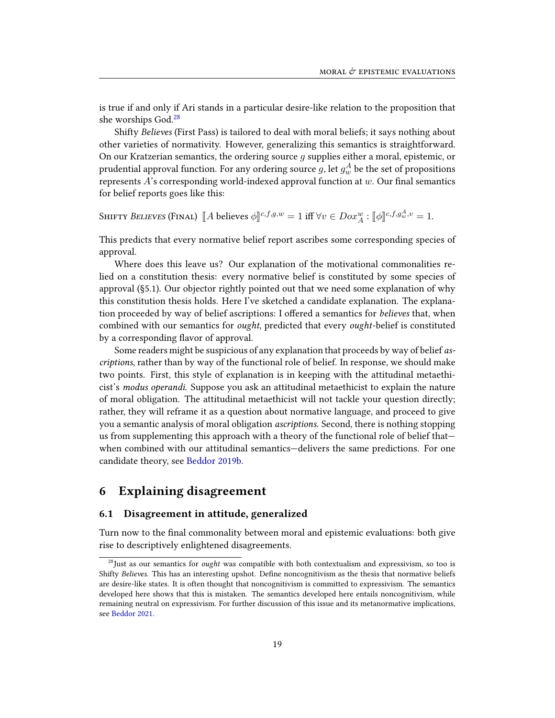is true if and only if Ari stands in a particular desire-like relation to the proposition that she worships God.[28](#page-18-0)

Shifty Believes (First Pass) is tailored to deal with moral beliefs; it says nothing about other varieties of normativity. However, generalizing this semantics is straightforward. On our Kratzerian semantics, the ordering source  $g$  supplies either a moral, epistemic, or prudential approval function. For any ordering source  $g$ , let  $g^A_w$  be the set of propositions represents  $A$ 's corresponding world-indexed approval function at  $w$ . Our final semantics for belief reports goes like this:

SHIFTY BELIEVES (FINAL)  $\llbracket A$  believes  $\phi \rrbracket^{c,f,g,w} = 1$  iff  $\forall v \in Dox_A^w : \llbracket \phi \rrbracket^{c,f,g_w^A,v} = 1$ .

This predicts that every normative belief report ascribes some corresponding species of approval.

Where does this leave us? Our explanation of the motivational commonalities relied on a constitution thesis: every normative belief is constituted by some species of approval (§5.1). Our objector rightly pointed out that we need some explanation of why this constitution thesis holds. Here I've sketched a candidate explanation. The explanation proceeded by way of belief ascriptions: I offered a semantics for *believes* that, when combined with our semantics for *ought*, predicted that every *ought*-belief is constituted by a corresponding flavor of approval.

Some readers might be suspicious of any explanation that proceeds by way of belief ascriptions, rather than by way of the functional role of belief. In response, we should make two points. First, this style of explanation is in keeping with the attitudinal metaethicist's modus operandi. Suppose you ask an attitudinal metaethicist to explain the nature of moral obligation. The attitudinal metaethicist will not tackle your question directly; rather, they will reframe it as a question about normative language, and proceed to give you a semantic analysis of moral obligation ascriptions. Second, there is nothing stopping us from supplementing this approach with a theory of the functional role of belief that when combined with our attitudinal semantics—delivers the same predictions. For one candidate theory, see [Beddor](#page-26-3) [2019b.](#page-26-3)

## 6 Explaining disagreement

#### 6.1 Disagreement in attitude, generalized

Turn now to the final commonality between moral and epistemic evaluations: both give rise to descriptively enlightened disagreements.

<span id="page-18-0"></span> $28$ Just as our semantics for *ought* was compatible with both contextualism and expressivism, so too is Shifty Believes. This has an interesting upshot. Define noncognitivism as the thesis that normative beliefs are desire-like states. It is often thought that noncognitivism is committed to expressivism. The semantics developed here shows that this is mistaken. The semantics developed here entails noncognitivism, while remaining neutral on expressivism. For further discussion of this issue and its metanormative implications, see [Beddor](#page-27-31) [2021.](#page-27-31)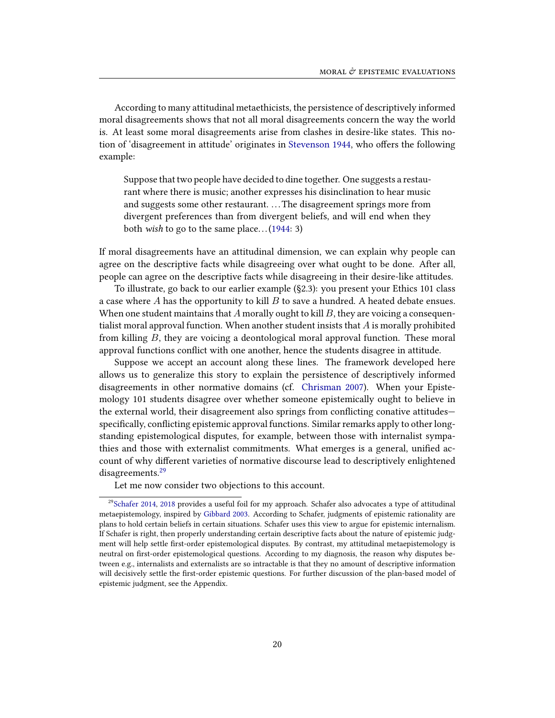According to many attitudinal metaethicists, the persistence of descriptively informed moral disagreements shows that not all moral disagreements concern the way the world is. At least some moral disagreements arise from clashes in desire-like states. This no-tion of 'disagreement in attitude' originates in [Stevenson](#page-29-13) [1944,](#page-29-13) who offers the following example:

Suppose that two people have decided to dine together. One suggests a restaurant where there is music; another expresses his disinclination to hear music and suggests some other restaurant. . . . The disagreement springs more from divergent preferences than from divergent beliefs, and will end when they both wish to go to the same place... $(1944:3)$  $(1944:3)$ 

If moral disagreements have an attitudinal dimension, we can explain why people can agree on the descriptive facts while disagreeing over what ought to be done. After all, people can agree on the descriptive facts while disagreeing in their desire-like attitudes.

To illustrate, go back to our earlier example (§2.3): you present your Ethics 101 class a case where  $A$  has the opportunity to kill  $B$  to save a hundred. A heated debate ensues. When one student maintains that  $A$  morally ought to kill  $B$ , they are voicing a consequentialist moral approval function. When another student insists that  $A$  is morally prohibited from killing B, they are voicing a deontological moral approval function. These moral approval functions conflict with one another, hence the students disagree in attitude.

Suppose we accept an account along these lines. The framework developed here allows us to generalize this story to explain the persistence of descriptively informed disagreements in other normative domains (cf. [Chrisman](#page-27-3) [2007\)](#page-27-3). When your Epistemology 101 students disagree over whether someone epistemically ought to believe in the external world, their disagreement also springs from conflicting conative attitudes specifically, conflicting epistemic approval functions. Similar remarks apply to other longstanding epistemological disputes, for example, between those with internalist sympathies and those with externalist commitments. What emerges is a general, unified account of why different varieties of normative discourse lead to descriptively enlightened disagreements.<sup>[29](#page-19-0)</sup>

<span id="page-19-0"></span>Let me now consider two objections to this account.

<sup>&</sup>lt;sup>29</sup>[Schafer](#page-28-34) [2014,](#page-28-34) [2018](#page-28-35) provides a useful foil for my approach. Schafer also advocates a type of attitudinal metaepistemology, inspired by [Gibbard](#page-27-2) [2003.](#page-27-2) According to Schafer, judgments of epistemic rationality are plans to hold certain beliefs in certain situations. Schafer uses this view to argue for epistemic internalism. If Schafer is right, then properly understanding certain descriptive facts about the nature of epistemic judgment will help settle first-order epistemological disputes. By contrast, my attitudinal metaepistemology is neutral on first-order epistemological questions. According to my diagnosis, the reason why disputes between e.g., internalists and externalists are so intractable is that they no amount of descriptive information will decisively settle the first-order epistemic questions. For further discussion of the plan-based model of epistemic judgment, see the Appendix.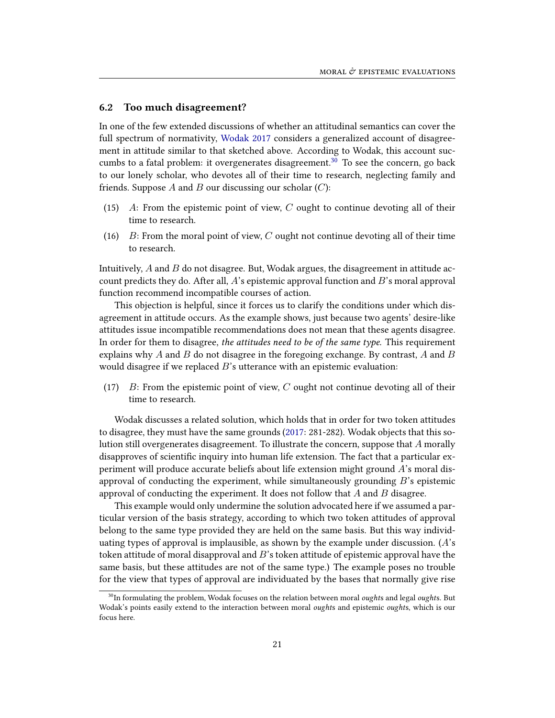#### 6.2 Too much disagreement?

In one of the few extended discussions of whether an attitudinal semantics can cover the full spectrum of normativity, [Wodak](#page-29-0) [2017](#page-29-0) considers a generalized account of disagreement in attitude similar to that sketched above. According to Wodak, this account suc-cumbs to a fatal problem: it overgenerates disagreement.<sup>[30](#page-20-0)</sup> To see the concern, go back to our lonely scholar, who devotes all of their time to research, neglecting family and friends. Suppose A and B our discussing our scholar  $(C)$ :

- (15) A: From the epistemic point of view, C ought to continue devoting all of their time to research.
- (16)  $B:$  From the moral point of view, C ought not continue devoting all of their time to research.

Intuitively,  $A$  and  $B$  do not disagree. But, Wodak argues, the disagreement in attitude account predicts they do. After all, A's epistemic approval function and B's moral approval function recommend incompatible courses of action.

This objection is helpful, since it forces us to clarify the conditions under which disagreement in attitude occurs. As the example shows, just because two agents' desire-like attitudes issue incompatible recommendations does not mean that these agents disagree. In order for them to disagree, the attitudes need to be of the same type. This requirement explains why A and B do not disagree in the foregoing exchange. By contrast, A and B would disagree if we replaced  $B$ 's utterance with an epistemic evaluation:

(17)  $B$ : From the epistemic point of view, C ought not continue devoting all of their time to research.

Wodak discusses a related solution, which holds that in order for two token attitudes to disagree, they must have the same grounds [\(2017:](#page-29-0) 281-282). Wodak objects that this solution still overgenerates disagreement. To illustrate the concern, suppose that A morally disapproves of scientific inquiry into human life extension. The fact that a particular experiment will produce accurate beliefs about life extension might ground A's moral disapproval of conducting the experiment, while simultaneously grounding  $B$ 's epistemic approval of conducting the experiment. It does not follow that  $A$  and  $B$  disagree.

This example would only undermine the solution advocated here if we assumed a particular version of the basis strategy, according to which two token attitudes of approval belong to the same type provided they are held on the same basis. But this way individuating types of approval is implausible, as shown by the example under discussion.  $(A's)$ token attitude of moral disapproval and  $B$ 's token attitude of epistemic approval have the same basis, but these attitudes are not of the same type.) The example poses no trouble for the view that types of approval are individuated by the bases that normally give rise

<span id="page-20-0"></span> $^{30}$ In formulating the problem, Wodak focuses on the relation between moral *oughts* and legal *oughts*. But Wodak's points easily extend to the interaction between moral oughts and epistemic oughts, which is our focus here.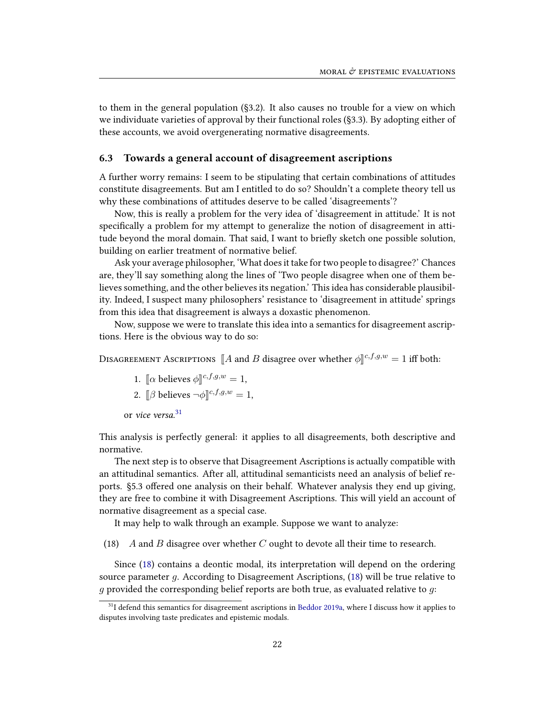to them in the general population (§3.2). It also causes no trouble for a view on which we individuate varieties of approval by their functional roles (§3.3). By adopting either of these accounts, we avoid overgenerating normative disagreements.

#### 6.3 Towards a general account of disagreement ascriptions

A further worry remains: I seem to be stipulating that certain combinations of attitudes constitute disagreements. But am I entitled to do so? Shouldn't a complete theory tell us why these combinations of attitudes deserve to be called 'disagreements'?

Now, this is really a problem for the very idea of 'disagreement in attitude.' It is not specifically a problem for my attempt to generalize the notion of disagreement in attitude beyond the moral domain. That said, I want to briefly sketch one possible solution, building on earlier treatment of normative belief.

Ask your average philosopher, 'What does it take for two people to disagree?' Chances are, they'll say something along the lines of 'Two people disagree when one of them believes something, and the other believes its negation.' This idea has considerable plausibility. Indeed, I suspect many philosophers' resistance to 'disagreement in attitude' springs from this idea that disagreement is always a doxastic phenomenon.

Now, suppose we were to translate this idea into a semantics for disagreement ascriptions. Here is the obvious way to do so:

DISAGREEMENT ASCRIPTIONS  $\llbracket A \text{ and } B \text{ disagree over whether } \phi \rrbracket^{c,f,g,w} = 1 \text{ iff both:}$ 

1.  $[\alpha \text{ believes } \phi]^{c,f,g,w} = 1,$ 2.  $[\![\beta\!]$  believes  $\neg \phi \!]^{c,f,g,w} = 1$ ,

or vice versa. [31](#page-21-0)

This analysis is perfectly general: it applies to all disagreements, both descriptive and normative.

The next step is to observe that Disagreement Ascriptions is actually compatible with an attitudinal semantics. After all, attitudinal semanticists need an analysis of belief reports. §5.3 offered one analysis on their behalf. Whatever analysis they end up giving, they are free to combine it with Disagreement Ascriptions. This will yield an account of normative disagreement as a special case.

It may help to walk through an example. Suppose we want to analyze:

<span id="page-21-1"></span>(18) A and B disagree over whether  $C$  ought to devote all their time to research.

Since [\(18\)](#page-21-1) contains a deontic modal, its interpretation will depend on the ordering source parameter g. According to Disagreement Ascriptions, [\(18\)](#page-21-1) will be true relative to  $g$  provided the corresponding belief reports are both true, as evaluated relative to  $g$ :

<span id="page-21-0"></span> $31$ I defend this semantics for disagreement ascriptions in [Beddor](#page-26-4) [2019a,](#page-26-4) where I discuss how it applies to disputes involving taste predicates and epistemic modals.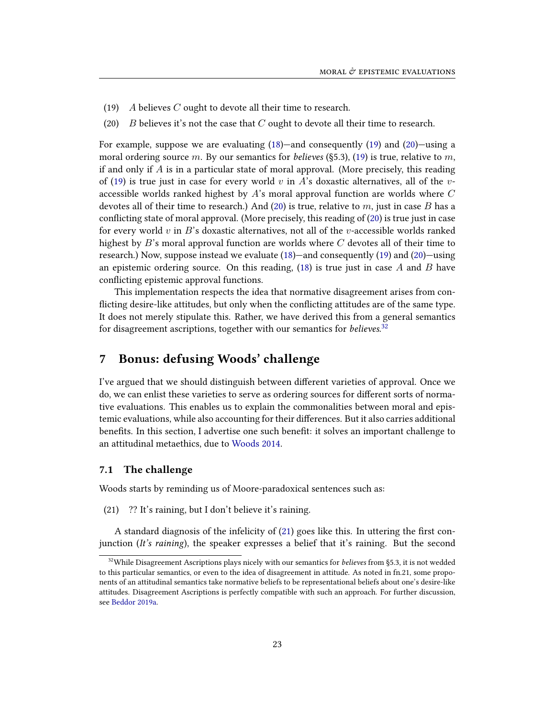- <span id="page-22-0"></span>(19) A believes C ought to devote all their time to research.
- <span id="page-22-1"></span>(20) B believes it's not the case that C ought to devote all their time to research.

For example, suppose we are evaluating [\(18\)](#page-21-1)—and consequently [\(19\)](#page-22-0) and [\(20\)](#page-22-1)—using a moral ordering source m. By our semantics for *believes* (§5.3), [\(19\)](#page-22-0) is true, relative to m, if and only if  $A$  is in a particular state of moral approval. (More precisely, this reading of [\(19\)](#page-22-0) is true just in case for every world v in A's doxastic alternatives, all of the vaccessible worlds ranked highest by  $A$ 's moral approval function are worlds where  $C$ devotes all of their time to research.) And [\(20\)](#page-22-1) is true, relative to m, just in case B has a conflicting state of moral approval. (More precisely, this reading of  $(20)$  is true just in case for every world v in B's doxastic alternatives, not all of the v-accessible worlds ranked highest by  $B$ 's moral approval function are worlds where  $C$  devotes all of their time to research.) Now, suppose instead we evaluate [\(18\)](#page-21-1)—and consequently [\(19\)](#page-22-0) and [\(20\)](#page-22-1)—using an epistemic ordering source. On this reading,  $(18)$  is true just in case A and B have conflicting epistemic approval functions.

This implementation respects the idea that normative disagreement arises from con flicting desire-like attitudes, but only when the conflicting attitudes are of the same type. It does not merely stipulate this. Rather, we have derived this from a general semantics for disagreement ascriptions, together with our semantics for *believes.*<sup>[32](#page-22-2)</sup>

# 7 Bonus: defusing Woods' challenge

I've argued that we should distinguish between different varieties of approval. Once we do, we can enlist these varieties to serve as ordering sources for different sorts of normative evaluations. This enables us to explain the commonalities between moral and epistemic evaluations, while also accounting for their differences. But it also carries additional benefits. In this section, I advertise one such benefit: it solves an important challenge to an attitudinal metaethics, due to [Woods](#page-29-1) [2014.](#page-29-1)

#### 7.1 The challenge

Woods starts by reminding us of Moore-paradoxical sentences such as:

<span id="page-22-3"></span>(21) ?? It's raining, but I don't believe it's raining.

A standard diagnosis of the infelicity of  $(21)$  goes like this. In uttering the first conjunction (It's raining), the speaker expresses a belief that it's raining. But the second

<span id="page-22-2"></span> $32$ While Disagreement Ascriptions plays nicely with our semantics for *believes* from §5.3, it is not wedded to this particular semantics, or even to the idea of disagreement in attitude. As noted in fn.21, some proponents of an attitudinal semantics take normative beliefs to be representational beliefs about one's desire-like attitudes. Disagreement Ascriptions is perfectly compatible with such an approach. For further discussion, see [Beddor](#page-26-4) [2019a.](#page-26-4)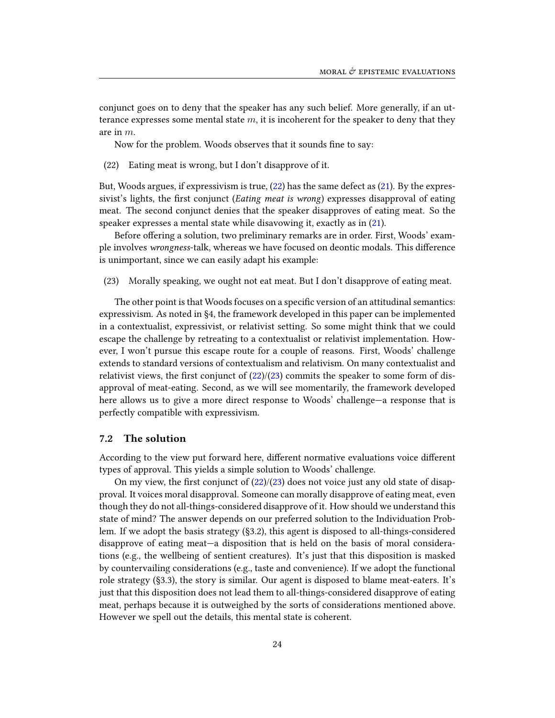conjunct goes on to deny that the speaker has any such belief. More generally, if an utterance expresses some mental state  $m$ , it is incoherent for the speaker to deny that they are in m.

Now for the problem. Woods observes that it sounds fine to say:

<span id="page-23-0"></span>(22) Eating meat is wrong, but I don't disapprove of it.

But, Woods argues, if expressivism is true, [\(22\)](#page-23-0) has the same defect as [\(21\)](#page-22-3). By the expressivist's lights, the first conjunct (Eating meat is wrong) expresses disapproval of eating meat. The second conjunct denies that the speaker disapproves of eating meat. So the speaker expresses a mental state while disavowing it, exactly as in [\(21\)](#page-22-3).

Before offering a solution, two preliminary remarks are in order. First, Woods' example involves *wrongness*-talk, whereas we have focused on deontic modals. This difference is unimportant, since we can easily adapt his example:

<span id="page-23-1"></span>(23) Morally speaking, we ought not eat meat. But I don't disapprove of eating meat.

The other point is that Woods focuses on a specific version of an attitudinal semantics: expressivism. As noted in §4, the framework developed in this paper can be implemented in a contextualist, expressivist, or relativist setting. So some might think that we could escape the challenge by retreating to a contextualist or relativist implementation. However, I won't pursue this escape route for a couple of reasons. First, Woods' challenge extends to standard versions of contextualism and relativism. On many contextualist and relativist views, the first conjunct of  $(22)/(23)$  $(22)/(23)$  $(22)/(23)$  commits the speaker to some form of disapproval of meat-eating. Second, as we will see momentarily, the framework developed here allows us to give a more direct response to Woods' challenge—a response that is perfectly compatible with expressivism.

#### 7.2 The solution

According to the view put forward here, different normative evaluations voice different types of approval. This yields a simple solution to Woods' challenge.

On my view, the first conjunct of  $(22)/(23)$  $(22)/(23)$  $(22)/(23)$  does not voice just any old state of disapproval. It voices moral disapproval. Someone can morally disapprove of eating meat, even though they do not all-things-considered disapprove of it. How should we understand this state of mind? The answer depends on our preferred solution to the Individuation Problem. If we adopt the basis strategy (§3.2), this agent is disposed to all-things-considered disapprove of eating meat—a disposition that is held on the basis of moral considerations (e.g., the wellbeing of sentient creatures). It's just that this disposition is masked by countervailing considerations (e.g., taste and convenience). If we adopt the functional role strategy (§3.3), the story is similar. Our agent is disposed to blame meat-eaters. It's just that this disposition does not lead them to all-things-considered disapprove of eating meat, perhaps because it is outweighed by the sorts of considerations mentioned above. However we spell out the details, this mental state is coherent.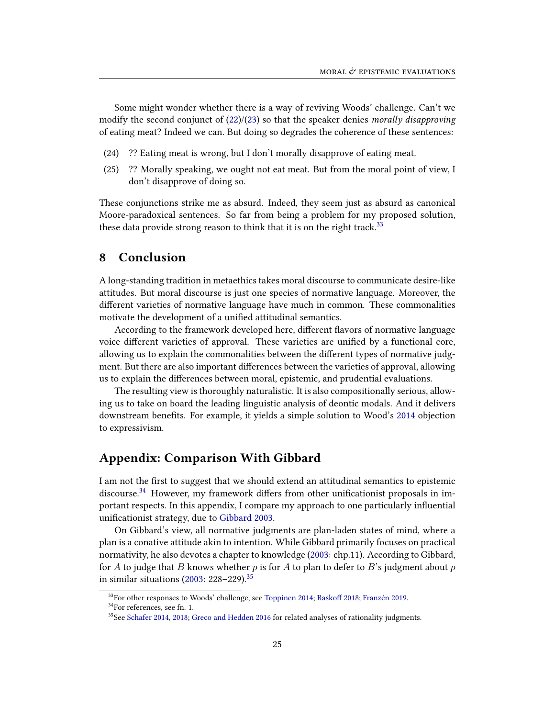Some might wonder whether there is a way of reviving Woods' challenge. Can't we modify the second conjunct of  $(22)/(23)$  $(22)/(23)$  $(22)/(23)$  so that the speaker denies morally disapproving of eating meat? Indeed we can. But doing so degrades the coherence of these sentences:

- (24) ?? Eating meat is wrong, but I don't morally disapprove of eating meat.
- (25) ?? Morally speaking, we ought not eat meat. But from the moral point of view, I don't disapprove of doing so.

These conjunctions strike me as absurd. Indeed, they seem just as absurd as canonical Moore-paradoxical sentences. So far from being a problem for my proposed solution, these data provide strong reason to think that it is on the right track.<sup>[33](#page-24-0)</sup>

### 8 Conclusion

A long-standing tradition in metaethics takes moral discourse to communicate desire-like attitudes. But moral discourse is just one species of normative language. Moreover, the different varieties of normative language have much in common. These commonalities motivate the development of a unified attitudinal semantics.

According to the framework developed here, different flavors of normative language voice different varieties of approval. These varieties are unified by a functional core, allowing us to explain the commonalities between the different types of normative judgment. But there are also important differences between the varieties of approval, allowing us to explain the differences between moral, epistemic, and prudential evaluations.

The resulting view is thoroughly naturalistic. It is also compositionally serious, allowing us to take on board the leading linguistic analysis of deontic modals. And it delivers downstream benefits. For example, it yields a simple solution to Wood's [2014](#page-29-1) objection to expressivism.

# Appendix: Comparison With Gibbard

I am not the first to suggest that we should extend an attitudinal semantics to epistemic discourse.<sup>[34](#page-24-1)</sup> However, my framework differs from other unificationist proposals in important respects. In this appendix, I compare my approach to one particularly influential unificationist strategy, due to [Gibbard](#page-27-2) [2003.](#page-27-2)

On Gibbard's view, all normative judgments are plan-laden states of mind, where a plan is a conative attitude akin to intention. While Gibbard primarily focuses on practical normativity, he also devotes a chapter to knowledge [\(2003:](#page-27-2) chp.11). According to Gibbard, for A to judge that B knows whether p is for A to plan to defer to B's judgment about p in similar situations [\(2003:](#page-27-2) 228–229).[35](#page-24-2)

<span id="page-24-0"></span><sup>&</sup>lt;sup>33</sup>For other responses to Woods' challenge, see [Toppinen](#page-29-16) [2014;](#page-29-16) [Rasko](#page-28-36)ff [2018;](#page-28-36) [Franzén](#page-27-34) [2019.](#page-27-34)

<span id="page-24-1"></span><sup>&</sup>lt;sup>34</sup>For references, see fn. 1.

<span id="page-24-2"></span><sup>&</sup>lt;sup>35</sup>See [Schafer](#page-28-34) [2014,](#page-28-34) [2018;](#page-28-35) [Greco and Hedden](#page-27-35) [2016](#page-27-35) for related analyses of rationality judgments.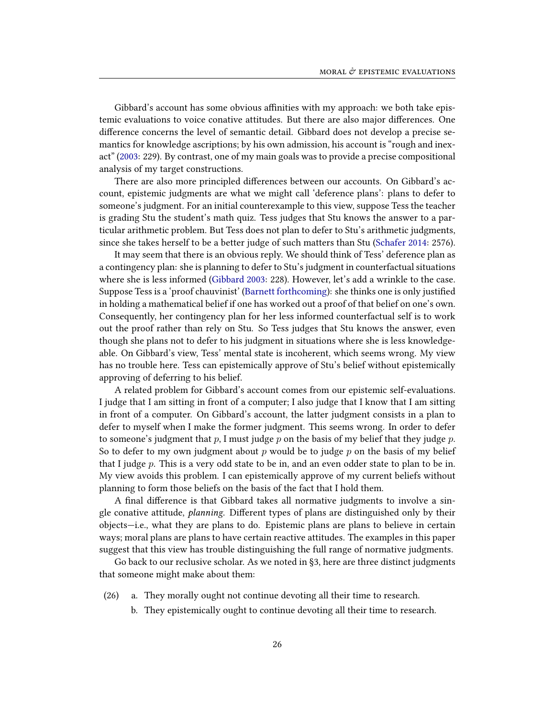Gibbard's account has some obvious affinities with my approach: we both take epistemic evaluations to voice conative attitudes. But there are also major differences. One difference concerns the level of semantic detail. Gibbard does not develop a precise semantics for knowledge ascriptions; by his own admission, his account is "rough and inexact" [\(2003:](#page-27-2) 229). By contrast, one of my main goals was to provide a precise compositional analysis of my target constructions.

There are also more principled differences between our accounts. On Gibbard's account, epistemic judgments are what we might call 'deference plans': plans to defer to someone's judgment. For an initial counterexample to this view, suppose Tess the teacher is grading Stu the student's math quiz. Tess judges that Stu knows the answer to a particular arithmetic problem. But Tess does not plan to defer to Stu's arithmetic judgments, since she takes herself to be a better judge of such matters than Stu [\(Schafer](#page-28-34) [2014:](#page-28-34) 2576).

It may seem that there is an obvious reply. We should think of Tess' deference plan as a contingency plan: she is planning to defer to Stu's judgment in counterfactual situations where she is less informed [\(Gibbard](#page-27-2) [2003:](#page-27-2) 228). However, let's add a wrinkle to the case. Suppose Tess is a 'proof chauvinist' [\(Barnett](#page-26-5) [forthcoming\)](#page-26-5): she thinks one is only justified in holding a mathematical belief if one has worked out a proof of that belief on one's own. Consequently, her contingency plan for her less informed counterfactual self is to work out the proof rather than rely on Stu. So Tess judges that Stu knows the answer, even though she plans not to defer to his judgment in situations where she is less knowledgeable. On Gibbard's view, Tess' mental state is incoherent, which seems wrong. My view has no trouble here. Tess can epistemically approve of Stu's belief without epistemically approving of deferring to his belief.

A related problem for Gibbard's account comes from our epistemic self-evaluations. I judge that I am sitting in front of a computer; I also judge that I know that I am sitting in front of a computer. On Gibbard's account, the latter judgment consists in a plan to defer to myself when I make the former judgment. This seems wrong. In order to defer to someone's judgment that  $p$ , I must judge  $p$  on the basis of my belief that they judge  $p$ . So to defer to my own judgment about p would be to judge p on the basis of my belief that I judge p. This is a very odd state to be in, and an even odder state to plan to be in. My view avoids this problem. I can epistemically approve of my current beliefs without planning to form those beliefs on the basis of the fact that I hold them.

A final difference is that Gibbard takes all normative judgments to involve a single conative attitude, *planning*. Different types of plans are distinguished only by their objects—i.e., what they are plans to do. Epistemic plans are plans to believe in certain ways; moral plans are plans to have certain reactive attitudes. The examples in this paper suggest that this view has trouble distinguishing the full range of normative judgments.

Go back to our reclusive scholar. As we noted in §3, here are three distinct judgments that someone might make about them:

- <span id="page-25-1"></span><span id="page-25-0"></span>(26) a. They morally ought not continue devoting all their time to research.
	- b. They epistemically ought to continue devoting all their time to research.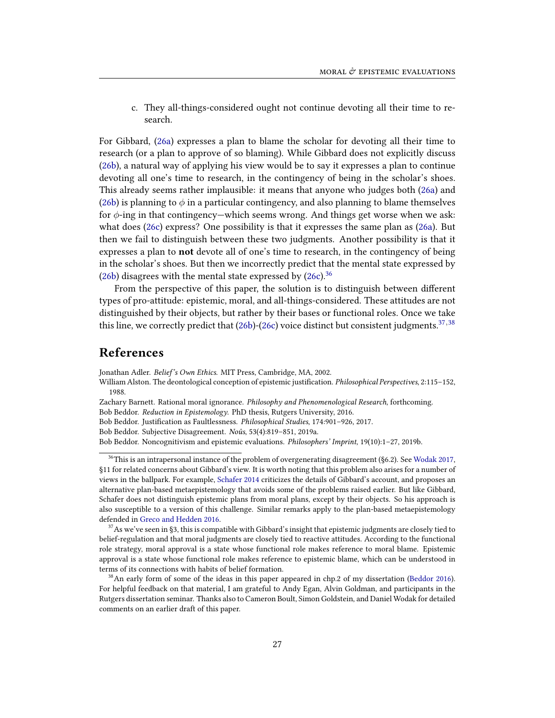<span id="page-26-6"></span>c. They all-things-considered ought not continue devoting all their time to research.

For Gibbard, [\(26a\)](#page-25-0) expresses a plan to blame the scholar for devoting all their time to research (or a plan to approve of so blaming). While Gibbard does not explicitly discuss [\(26b\)](#page-25-1), a natural way of applying his view would be to say it expresses a plan to continue devoting all one's time to research, in the contingency of being in the scholar's shoes. This already seems rather implausible: it means that anyone who judges both [\(26a\)](#page-25-0) and [\(26b\)](#page-25-1) is planning to  $\phi$  in a particular contingency, and also planning to blame themselves for  $\phi$ -ing in that contingency—which seems wrong. And things get worse when we ask: what does [\(26c\)](#page-26-6) express? One possibility is that it expresses the same plan as [\(26a\)](#page-25-0). But then we fail to distinguish between these two judgments. Another possibility is that it expresses a plan to not devote all of one's time to research, in the contingency of being in the scholar's shoes. But then we incorrectly predict that the mental state expressed by [\(26b\)](#page-25-1) disagrees with the mental state expressed by  $(26c)$ <sup>[36](#page-26-7)</sup>

From the perspective of this paper, the solution is to distinguish between different types of pro-attitude: epistemic, moral, and all-things-considered. These attitudes are not distinguished by their objects, but rather by their bases or functional roles. Once we take this line, we correctly predict that  $(26b)$ - $(26c)$  voice distinct but consistent judgments.<sup>[37](#page-26-8),[38](#page-26-9)</sup>

### References

<span id="page-26-2"></span><span id="page-26-0"></span>Jonathan Adler. Belief's Own Ethics. MIT Press, Cambridge, MA, 2002.

<span id="page-26-10"></span><span id="page-26-5"></span>Zachary Barnett. Rational moral ignorance. Philosophy and Phenomenological Research, forthcoming. Bob Beddor. Reduction in Epistemology. PhD thesis, Rutgers University, 2016. Bob Beddor. Justification as Faultlessness. Philosophical Studies, 174:901-926, 2017.

<span id="page-26-4"></span><span id="page-26-1"></span>Bob Beddor. Subjective Disagreement. Noûs, 53(4):819–851, 2019a.

<span id="page-26-3"></span>Bob Beddor. Noncognitivism and epistemic evaluations. Philosophers' Imprint, 19(10):1–27, 2019b.

William Alston. The deontological conception of epistemic justification. Philosophical Perspectives, 2:115-152, 1988.

<span id="page-26-7"></span> $^{36}\!$  This is an intrapersonal instance of the problem of overgenerating disagreement (§6.2). See [Wodak](#page-29-0) [2017,](#page-29-0) §11 for related concerns about Gibbard's view. It is worth noting that this problem also arises for a number of views in the ballpark. For example, [Schafer](#page-28-34) [2014](#page-28-34) criticizes the details of Gibbard's account, and proposes an alternative plan-based metaepistemology that avoids some of the problems raised earlier. But like Gibbard, Schafer does not distinguish epistemic plans from moral plans, except by their objects. So his approach is also susceptible to a version of this challenge. Similar remarks apply to the plan-based metaepistemology defended in [Greco and Hedden](#page-27-35) [2016.](#page-27-35)

<span id="page-26-8"></span> $37$ As we've seen in §3, this is compatible with Gibbard's insight that epistemic judgments are closely tied to belief-regulation and that moral judgments are closely tied to reactive attitudes. According to the functional role strategy, moral approval is a state whose functional role makes reference to moral blame. Epistemic approval is a state whose functional role makes reference to epistemic blame, which can be understood in terms of its connections with habits of belief formation.

<span id="page-26-9"></span> $38$ An early form of some of the ideas in this paper appeared in chp.2 of my dissertation [\(Beddor](#page-26-10) [2016\)](#page-26-10). For helpful feedback on that material, I am grateful to Andy Egan, Alvin Goldman, and participants in the Rutgers dissertation seminar. Thanks also to Cameron Boult, Simon Goldstein, and Daniel Wodak for detailed comments on an earlier draft of this paper.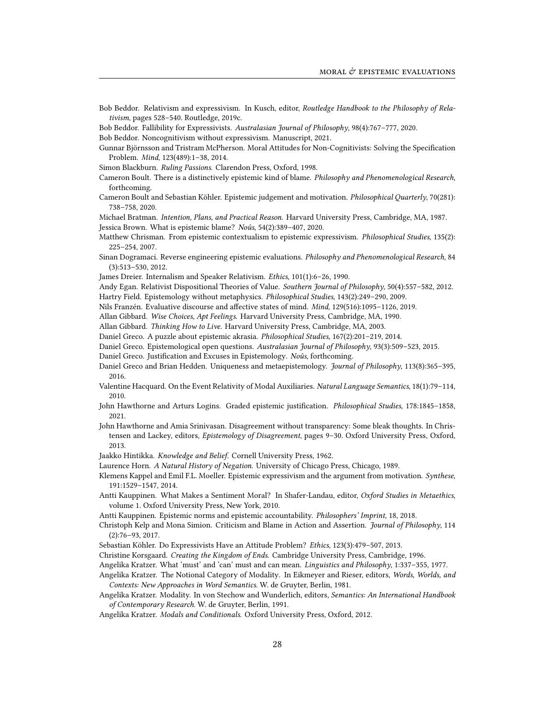- <span id="page-27-26"></span>Bob Beddor. Relativism and expressivism. In Kusch, editor, Routledge Handbook to the Philosophy of Relativism, pages 528–540. Routledge, 2019c.
- <span id="page-27-30"></span>Bob Beddor. Fallibility for Expressivists. Australasian Journal of Philosophy, 98(4):767–777, 2020.
- <span id="page-27-31"></span>Bob Beddor. Noncognitivism without expressivism. Manuscript, 2021.
- <span id="page-27-9"></span>Gunnar Björnsson and Tristram McPherson. Moral Attitudes for Non-Cognitivists: Solving the Specification Problem. Mind, 123(489):1–38, 2014.
- <span id="page-27-1"></span>Simon Blackburn. Ruling Passions. Clarendon Press, Oxford, 1998.
- <span id="page-27-11"></span>Cameron Boult. There is a distinctively epistemic kind of blame. Philosophy and Phenomenological Research, forthcoming.
- <span id="page-27-0"></span>Cameron Boult and Sebastian Köhler. Epistemic judgement and motivation. Philosophical Quarterly, 70(281): 738–758, 2020.

<span id="page-27-29"></span><span id="page-27-10"></span>Michael Bratman. Intention, Plans, and Practical Reason. Harvard University Press, Cambridge, MA, 1987. Jessica Brown. What is epistemic blame? Noûs, 54(2):389–407, 2020.

- <span id="page-27-3"></span>Matthew Chrisman. From epistemic contextualism to epistemic expressivism. Philosophical Studies, 135(2): 225–254, 2007.
- <span id="page-27-22"></span>Sinan Dogramaci. Reverse engineering epistemic evaluations. Philosophy and Phenomenological Research, 84 (3):513–530, 2012.
- <span id="page-27-17"></span><span id="page-27-15"></span>James Dreier. Internalism and Speaker Relativism. Ethics, 101(1):6–26, 1990.
- <span id="page-27-4"></span>Andy Egan. Relativist Dispositional Theories of Value. Southern Journal of Philosophy, 50(4):557–582, 2012. Hartry Field. Epistemology without metaphysics. Philosophical Studies, 143(2):249–290, 2009.
- <span id="page-27-34"></span>Nils Franzén. Evaluative discourse and affective states of mind. Mind, 129(516):1095-1126, 2019.
- <span id="page-27-7"></span>Allan Gibbard. Wise Choices, Apt Feelings. Harvard University Press, Cambridge, MA, 1990.
- <span id="page-27-5"></span><span id="page-27-2"></span>Allan Gibbard. Thinking How to Live. Harvard University Press, Cambridge, MA, 2003.
- Daniel Greco. A puzzle about epistemic akrasia. Philosophical Studies, 167(2):201–219, 2014.
- <span id="page-27-19"></span>Daniel Greco. Epistemological open questions. Australasian Journal of Philosophy, 93(3):509–523, 2015.
- <span id="page-27-14"></span>Daniel Greco. Justification and Excuses in Epistemology. Noûs, forthcoming.
- <span id="page-27-35"></span>Daniel Greco and Brian Hedden. Uniqueness and metaepistemology. Journal of Philosophy, 113(8):365–395, 2016.
- <span id="page-27-33"></span>Valentine Hacquard. On the Event Relativity of Modal Auxiliaries. Natural Language Semantics, 18(1):79–114, 2010.
- <span id="page-27-28"></span>John Hawthorne and Arturs Logins. Graded epistemic justification. Philosophical Studies, 178:1845-1858, 2021.
- <span id="page-27-12"></span>John Hawthorne and Amia Srinivasan. Disagreement without transparency: Some bleak thoughts. In Christensen and Lackey, editors, Epistemology of Disagreement, pages 9-30. Oxford University Press, Oxford, 2013.
- <span id="page-27-32"></span><span id="page-27-27"></span>Jaakko Hintikka. Knowledge and Belief. Cornell University Press, 1962.
- Laurence Horn. A Natural History of Negation. University of Chicago Press, Chicago, 1989.
- <span id="page-27-18"></span>Klemens Kappel and Emil F.L. Moeller. Epistemic expressivism and the argument from motivation. Synthese, 191:1529–1547, 2014.
- <span id="page-27-8"></span>Antti Kauppinen. What Makes a Sentiment Moral? In Shafer-Landau, editor, Oxford Studies in Metaethics, volume 1. Oxford University Press, New York, 2010.
- <span id="page-27-21"></span>Antti Kauppinen. Epistemic norms and epistemic accountability. Philosophers' Imprint, 18, 2018.
- <span id="page-27-13"></span>Christoph Kelp and Mona Simion. Criticism and Blame in Action and Assertion. Journal of Philosophy, 114 (2):76–93, 2017.
- <span id="page-27-20"></span>Sebastian Köhler. Do Expressivists Have an Attitude Problem? Ethics, 123(3):479–507, 2013.
- <span id="page-27-16"></span>Christine Korsgaard. Creating the Kingdom of Ends. Cambridge University Press, Cambridge, 1996.
- <span id="page-27-6"></span>Angelika Kratzer. What 'must' and 'can' must and can mean. Linguistics and Philosophy, 1:337–355, 1977.
- <span id="page-27-23"></span>Angelika Kratzer. The Notional Category of Modality. In Eikmeyer and Rieser, editors, Words, Worlds, and Contexts: New Approaches in Word Semantics. W. de Gruyter, Berlin, 1981.
- <span id="page-27-24"></span>Angelika Kratzer. Modality. In von Stechow and Wunderlich, editors, Semantics: An International Handbook of Contemporary Research. W. de Gruyter, Berlin, 1991.
- <span id="page-27-25"></span>Angelika Kratzer. Modals and Conditionals. Oxford University Press, Oxford, 2012.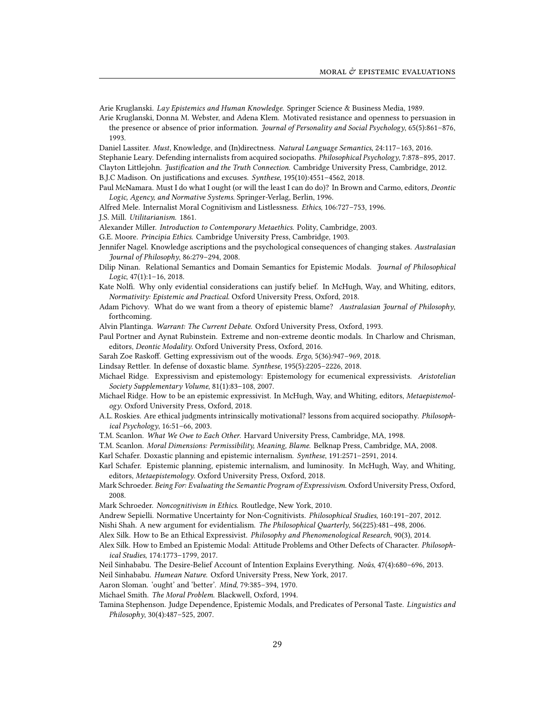<span id="page-28-28"></span>Arie Kruglanski. Lay Epistemics and Human Knowledge. Springer Science & Business Media, 1989.

- <span id="page-28-29"></span>Arie Kruglanski, Donna M. Webster, and Adena Klem. Motivated resistance and openness to persuasion in the presence or absence of prior information. Journal of Personality and Social Psychology, 65(5):861-876, 1993.
- <span id="page-28-20"></span><span id="page-28-11"></span>Daniel Lassiter. Must, Knowledge, and (In)directness. Natural Language Semantics, 24:117–163, 2016. Stephanie Leary. Defending internalists from acquired sociopaths. Philosophical Psychology, 7:878–895, 2017.
- <span id="page-28-17"></span><span id="page-28-7"></span>Clayton Littlejohn. Justification and the Truth Connection. Cambridge University Press, Cambridge, 2012. B.J.C Madison. On justifications and excuses. Synthese, 195(10):4551-4562, 2018.

<span id="page-28-19"></span>Paul McNamara. Must I do what I ought (or will the least I can do do)? In Brown and Carmo, editors, Deontic Logic, Agency, and Normative Systems. Springer-Verlag, Berlin, 1996.

<span id="page-28-9"></span>Alfred Mele. Internalist Moral Cognitivism and Listlessness. Ethics, 106:727–753, 1996.

<span id="page-28-13"></span><span id="page-28-2"></span>J.S. Mill. Utilitarianism. 1861.

- Alexander Miller. Introduction to Contemporary Metaethics. Polity, Cambridge, 2003.
- <span id="page-28-12"></span>G.E. Moore. Principia Ethics. Cambridge University Press, Cambridge, 1903.
- <span id="page-28-30"></span>Jennifer Nagel. Knowledge ascriptions and the psychological consequences of changing stakes. Australasian Journal of Philosophy, 86:279–294, 2008.
- <span id="page-28-33"></span>Dilip Ninan. Relational Semantics and Domain Semantics for Epistemic Modals. Journal of Philosophical Logic, 47(1):1–16, 2018.

<span id="page-28-26"></span>Kate Nolfi. Why only evidential considerations can justify belief. In McHugh, Way, and Whiting, editors, Normativity: Epistemic and Practical. Oxford University Press, Oxford, 2018.

- <span id="page-28-6"></span>Adam Pichovy. What do we want from a theory of epistemic blame? Australasian Journal of Philosophy, forthcoming.
- <span id="page-28-16"></span>Alvin Plantinga. Warrant: The Current Debate. Oxford University Press, Oxford, 1993.
- <span id="page-28-21"></span>Paul Portner and Aynat Rubinstein. Extreme and non-extreme deontic modals. In Charlow and Chrisman, editors, Deontic Modality. Oxford University Press, Oxford, 2016.
- <span id="page-28-36"></span>Sarah Zoe Raskoff. Getting expressivism out of the woods. *Ergo*, 5(36):947–969, 2018.
- <span id="page-28-5"></span>Lindsay Rettler. In defense of doxastic blame. Synthese, 195(5):2205–2226, 2018.
- <span id="page-28-0"></span>Michael Ridge. Expressivism and epistemology: Epistemology for ecumenical expressivists. Aristotelian Society Supplementary Volume, 81(1):83–108, 2007.
- <span id="page-28-1"></span>Michael Ridge. How to be an epistemic expressivist. In McHugh, Way, and Whiting, editors, Metaepistemology. Oxford University Press, Oxford, 2018.
- <span id="page-28-10"></span>A.L. Roskies. Are ethical judgments intrinsically motivational? lessons from acquired sociopathy. Philosophical Psychology, 16:51–66, 2003.
- <span id="page-28-22"></span>T.M. Scanlon. What We Owe to Each Other. Harvard University Press, Cambridge, MA, 1998.
- <span id="page-28-14"></span>T.M. Scanlon. Moral Dimensions: Permissibility, Meaning, Blame. Belknap Press, Cambridge, MA, 2008.

<span id="page-28-34"></span>Karl Schafer. Doxastic planning and epistemic internalism. Synthese, 191:2571–2591, 2014.

- <span id="page-28-35"></span>Karl Schafer. Epistemic planning, epistemic internalism, and luminosity. In McHugh, Way, and Whiting, editors, Metaepistemology. Oxford University Press, Oxford, 2018.
- <span id="page-28-3"></span>Mark Schroeder. Being For: Evaluating the Semantic Program of Expressivism. Oxford University Press, Oxford, 2008.
- <span id="page-28-27"></span>Mark Schroeder. Noncognitivism in Ethics. Routledge, New York, 2010.

<span id="page-28-4"></span>Andrew Sepielli. Normative Uncertainty for Non-Cognitivists. Philosophical Studies, 160:191–207, 2012.

- <span id="page-28-25"></span>Nishi Shah. A new argument for evidentialism. The Philosophical Quarterly, 56(225):481–498, 2006.
- <span id="page-28-15"></span>Alex Silk. How to Be an Ethical Expressivist. Philosophy and Phenomenological Research, 90(3), 2014.
- <span id="page-28-32"></span>Alex Silk. How to Embed an Epistemic Modal: Attitude Problems and Other Defects of Character. Philosophical Studies, 174:1773–1799, 2017.
- <span id="page-28-23"></span>Neil Sinhababu. The Desire-Belief Account of Intention Explains Everything. Noûs, 47(4):680–696, 2013.
- <span id="page-28-24"></span><span id="page-28-18"></span>Neil Sinhababu. Humean Nature. Oxford University Press, New York, 2017.
- Aaron Sloman. 'ought' and 'better'. Mind, 79:385–394, 1970.
- <span id="page-28-8"></span>Michael Smith. The Moral Problem. Blackwell, Oxford, 1994.
- <span id="page-28-31"></span>Tamina Stephenson. Judge Dependence, Epistemic Modals, and Predicates of Personal Taste. Linguistics and Philosophy, 30(4):487–525, 2007.